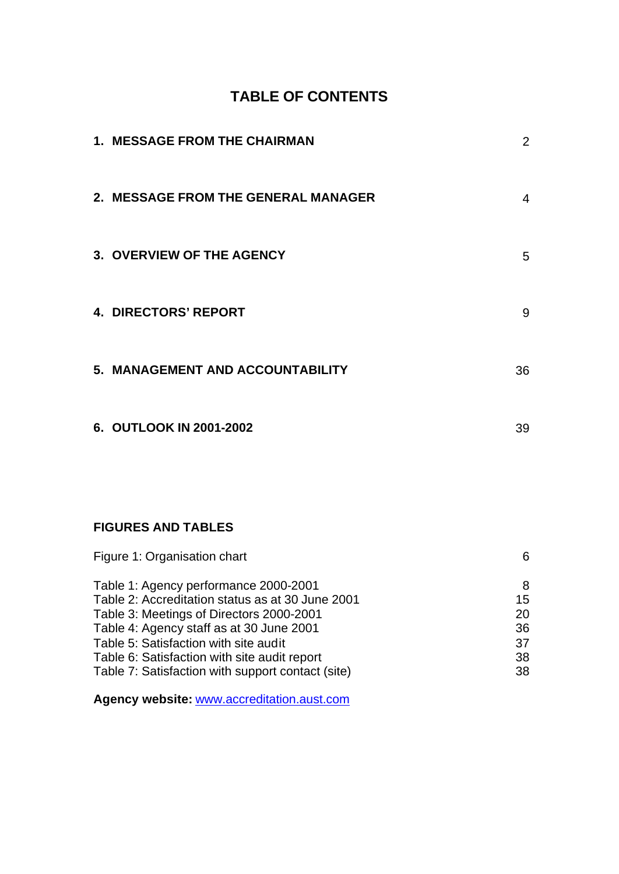# **TABLE OF CONTENTS**

| <b>1. MESSAGE FROM THE CHAIRMAN</b> | $\overline{2}$ |
|-------------------------------------|----------------|
| 2. MESSAGE FROM THE GENERAL MANAGER | 4              |
| 3. OVERVIEW OF THE AGENCY           | 5              |
| <b>4. DIRECTORS' REPORT</b>         | 9              |
| 5. MANAGEMENT AND ACCOUNTABILITY    | 36             |
| 6. OUTLOOK IN 2001-2002             | 39             |

# **FIGURES AND TABLES**

| Figure 1: Organisation chart                      | 6  |
|---------------------------------------------------|----|
| Table 1: Agency performance 2000-2001             | 8  |
| Table 2: Accreditation status as at 30 June 2001  | 15 |
| Table 3: Meetings of Directors 2000-2001          | 20 |
| Table 4: Agency staff as at 30 June 2001          | 36 |
| Table 5: Satisfaction with site audit             | 37 |
| Table 6: Satisfaction with site audit report      | 38 |
| Table 7: Satisfaction with support contact (site) | 38 |

**Agency website:** www.accreditation.aust.com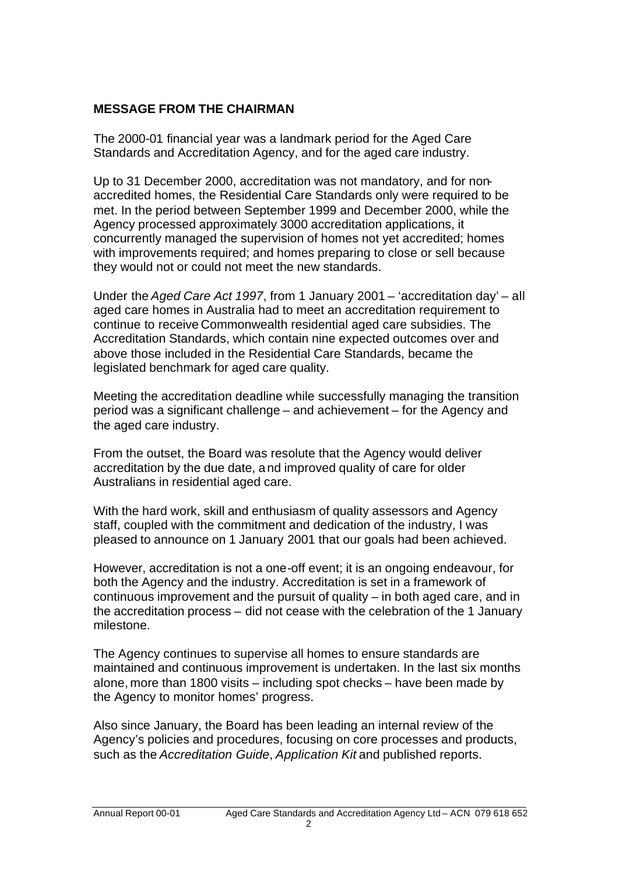# **MESSAGE FROM THE CHAIRMAN**

The 2000-01 financial year was a landmark period for the Aged Care Standards and Accreditation Agency, and for the aged care industry.

Up to 31 December 2000, accreditation was not mandatory, and for nonaccredited homes, the Residential Care Standards only were required to be met. In the period between September 1999 and December 2000, while the Agency processed approximately 3000 accreditation applications, it concurrently managed the supervision of homes not yet accredited; homes with improvements required; and homes preparing to close or sell because they would not or could not meet the new standards.

Under the *Aged Care Act 1997*, from 1 January 2001 – 'accreditation day' – all aged care homes in Australia had to meet an accreditation requirement to continue to receive Commonwealth residential aged care subsidies. The Accreditation Standards, which contain nine expected outcomes over and above those included in the Residential Care Standards, became the legislated benchmark for aged care quality.

Meeting the accreditation deadline while successfully managing the transition period was a significant challenge – and achievement – for the Agency and the aged care industry.

From the outset, the Board was resolute that the Agency would deliver accreditation by the due date, and improved quality of care for older Australians in residential aged care.

With the hard work, skill and enthusiasm of quality assessors and Agency staff, coupled with the commitment and dedication of the industry, I was pleased to announce on 1 January 2001 that our goals had been achieved.

However, accreditation is not a one-off event; it is an ongoing endeavour, for both the Agency and the industry. Accreditation is set in a framework of continuous improvement and the pursuit of quality – in both aged care, and in the accreditation process – did not cease with the celebration of the 1 January milestone.

The Agency continues to supervise all homes to ensure standards are maintained and continuous improvement is undertaken. In the last six months alone, more than 1800 visits – including spot checks – have been made by the Agency to monitor homes' progress.

Also since January, the Board has been leading an internal review of the Agency's policies and procedures, focusing on core processes and products, such as the *Accreditation Guide*, *Application Kit* and published reports.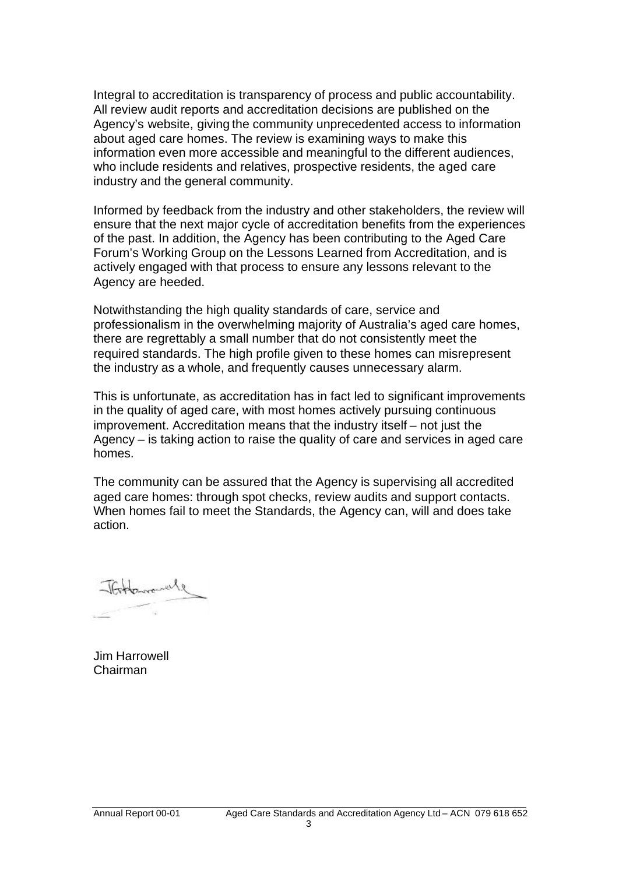Integral to accreditation is transparency of process and public accountability. All review audit reports and accreditation decisions are published on the Agency's website, giving the community unprecedented access to information about aged care homes. The review is examining ways to make this information even more accessible and meaningful to the different audiences, who include residents and relatives, prospective residents, the aged care industry and the general community.

Informed by feedback from the industry and other stakeholders, the review will ensure that the next major cycle of accreditation benefits from the experiences of the past. In addition, the Agency has been contributing to the Aged Care Forum's Working Group on the Lessons Learned from Accreditation, and is actively engaged with that process to ensure any lessons relevant to the Agency are heeded.

Notwithstanding the high quality standards of care, service and professionalism in the overwhelming majority of Australia's aged care homes, there are regrettably a small number that do not consistently meet the required standards. The high profile given to these homes can misrepresent the industry as a whole, and frequently causes unnecessary alarm.

This is unfortunate, as accreditation has in fact led to significant improvements in the quality of aged care, with most homes actively pursuing continuous improvement. Accreditation means that the industry itself – not just the Agency – is taking action to raise the quality of care and services in aged care homes.

The community can be assured that the Agency is supervising all accredited aged care homes: through spot checks, review audits and support contacts. When homes fail to meet the Standards, the Agency can, will and does take action.

Jim Harrowell Chairman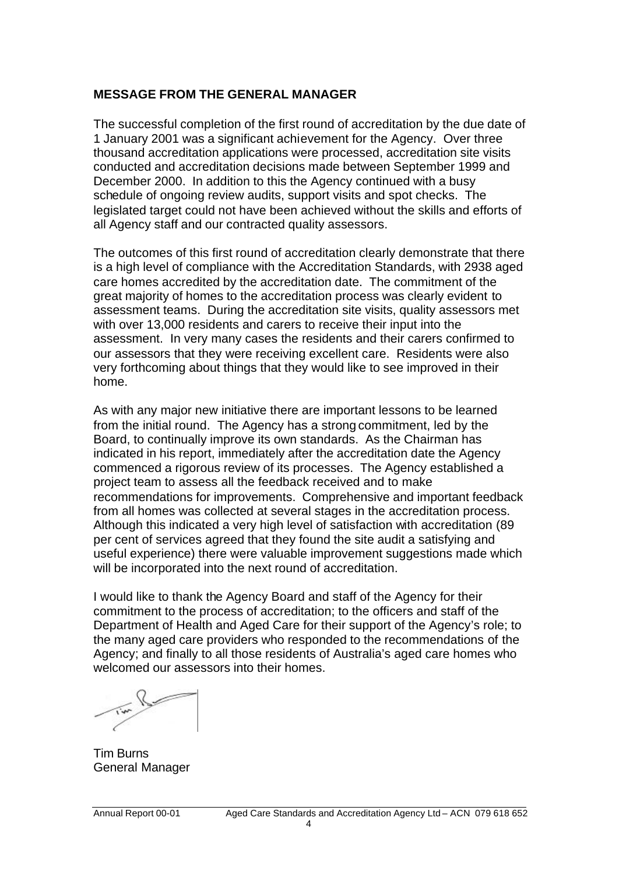## **MESSAGE FROM THE GENERAL MANAGER**

The successful completion of the first round of accreditation by the due date of 1 January 2001 was a significant achievement for the Agency. Over three thousand accreditation applications were processed, accreditation site visits conducted and accreditation decisions made between September 1999 and December 2000. In addition to this the Agency continued with a busy schedule of ongoing review audits, support visits and spot checks. The legislated target could not have been achieved without the skills and efforts of all Agency staff and our contracted quality assessors.

The outcomes of this first round of accreditation clearly demonstrate that there is a high level of compliance with the Accreditation Standards, with 2938 aged care homes accredited by the accreditation date. The commitment of the great majority of homes to the accreditation process was clearly evident to assessment teams. During the accreditation site visits, quality assessors met with over 13,000 residents and carers to receive their input into the assessment. In very many cases the residents and their carers confirmed to our assessors that they were receiving excellent care. Residents were also very forthcoming about things that they would like to see improved in their home.

As with any major new initiative there are important lessons to be learned from the initial round. The Agency has a strong commitment, led by the Board, to continually improve its own standards. As the Chairman has indicated in his report, immediately after the accreditation date the Agency commenced a rigorous review of its processes. The Agency established a project team to assess all the feedback received and to make recommendations for improvements. Comprehensive and important feedback from all homes was collected at several stages in the accreditation process. Although this indicated a very high level of satisfaction with accreditation (89 per cent of services agreed that they found the site audit a satisfying and useful experience) there were valuable improvement suggestions made which will be incorporated into the next round of accreditation.

I would like to thank the Agency Board and staff of the Agency for their commitment to the process of accreditation; to the officers and staff of the Department of Health and Aged Care for their support of the Agency's role; to the many aged care providers who responded to the recommendations of the Agency; and finally to all those residents of Australia's aged care homes who welcomed our assessors into their homes.

Tim Burns General Manager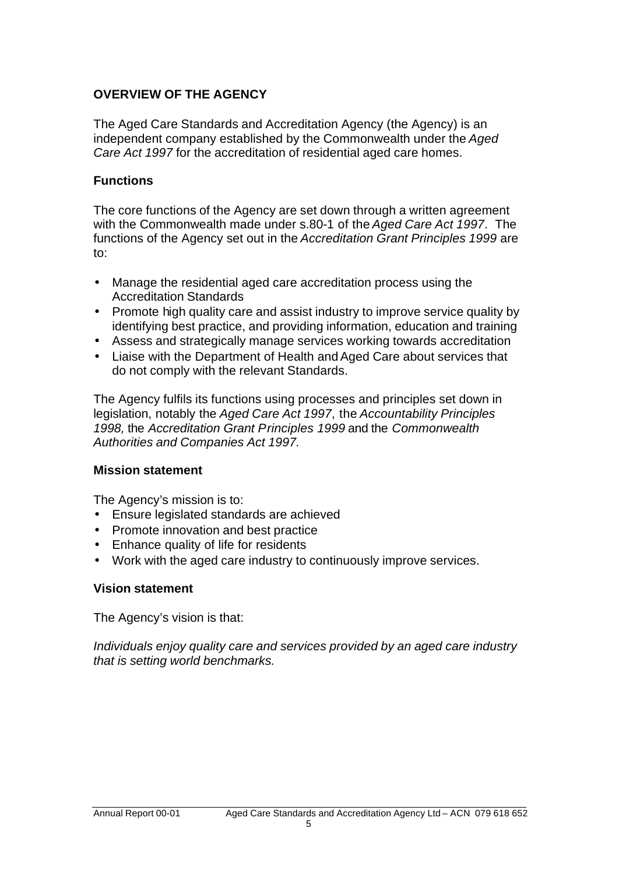# **OVERVIEW OF THE AGENCY**

The Aged Care Standards and Accreditation Agency (the Agency) is an independent company established by the Commonwealth under the *Aged Care Act 1997* for the accreditation of residential aged care homes.

## **Functions**

The core functions of the Agency are set down through a written agreement with the Commonwealth made under s.80-1 of the *Aged Care Act 1997*. The functions of the Agency set out in the *Accreditation Grant Principles 1999* are to:

- Manage the residential aged care accreditation process using the Accreditation Standards
- Promote high quality care and assist industry to improve service quality by identifying best practice, and providing information, education and training
- Assess and strategically manage services working towards accreditation
- Liaise with the Department of Health and Aged Care about services that do not comply with the relevant Standards.

The Agency fulfils its functions using processes and principles set down in legislation, notably the *Aged Care Act 1997*, the *Accountability Principles 1998,* the *Accreditation Grant Principles 1999* and the *Commonwealth Authorities and Companies Act 1997.*

## **Mission statement**

The Agency's mission is to:

- Ensure legislated standards are achieved
- Promote innovation and best practice
- Enhance quality of life for residents
- Work with the aged care industry to continuously improve services.

## **Vision statement**

The Agency's vision is that:

*Individuals enjoy quality care and services provided by an aged care industry that is setting world benchmarks.*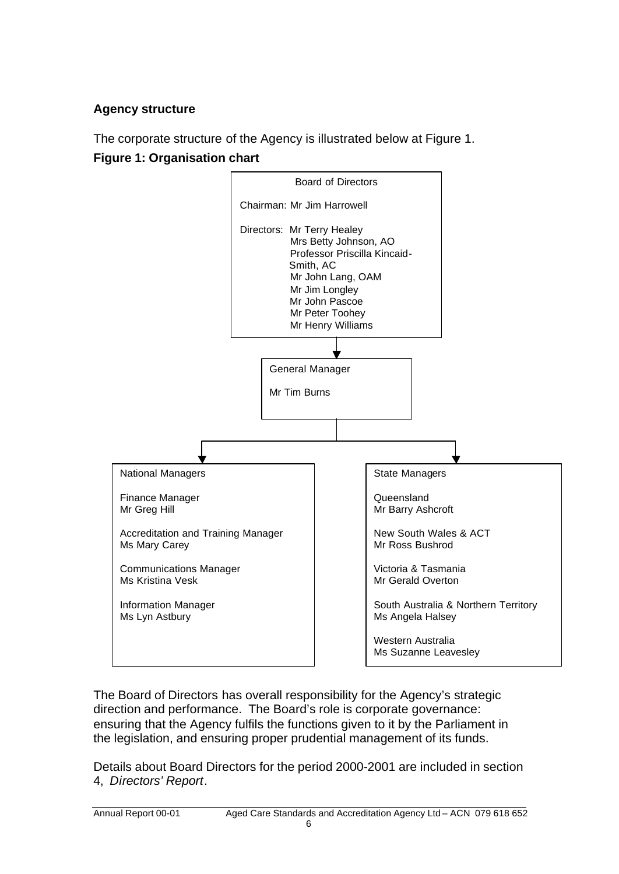# **Agency structure**

The corporate structure of the Agency is illustrated below at Figure 1. **Figure 1: Organisation chart**



The Board of Directors has overall responsibility for the Agency's strategic direction and performance. The Board's role is corporate governance: ensuring that the Agency fulfils the functions given to it by the Parliament in the legislation, and ensuring proper prudential management of its funds.

Details about Board Directors for the period 2000-2001 are included in section 4, *Directors' Report*.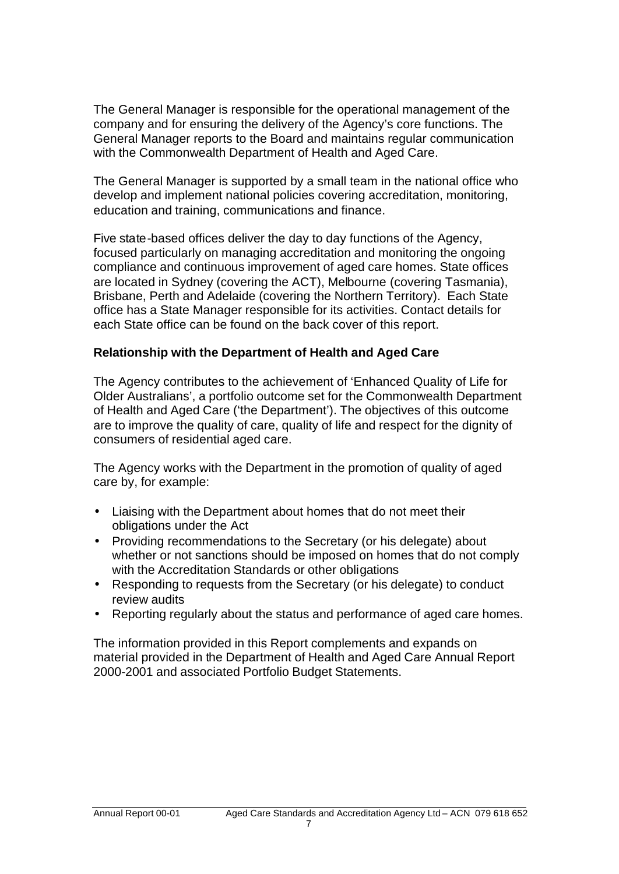The General Manager is responsible for the operational management of the company and for ensuring the delivery of the Agency's core functions. The General Manager reports to the Board and maintains regular communication with the Commonwealth Department of Health and Aged Care.

The General Manager is supported by a small team in the national office who develop and implement national policies covering accreditation, monitoring, education and training, communications and finance.

Five state-based offices deliver the day to day functions of the Agency, focused particularly on managing accreditation and monitoring the ongoing compliance and continuous improvement of aged care homes. State offices are located in Sydney (covering the ACT), Melbourne (covering Tasmania), Brisbane, Perth and Adelaide (covering the Northern Territory). Each State office has a State Manager responsible for its activities. Contact details for each State office can be found on the back cover of this report.

# **Relationship with the Department of Health and Aged Care**

The Agency contributes to the achievement of 'Enhanced Quality of Life for Older Australians', a portfolio outcome set for the Commonwealth Department of Health and Aged Care ('the Department'). The objectives of this outcome are to improve the quality of care, quality of life and respect for the dignity of consumers of residential aged care.

The Agency works with the Department in the promotion of quality of aged care by, for example:

- Liaising with the Department about homes that do not meet their obligations under the Act
- Providing recommendations to the Secretary (or his delegate) about whether or not sanctions should be imposed on homes that do not comply with the Accreditation Standards or other obligations
- Responding to requests from the Secretary (or his delegate) to conduct review audits
- Reporting regularly about the status and performance of aged care homes.

The information provided in this Report complements and expands on material provided in the Department of Health and Aged Care Annual Report 2000-2001 and associated Portfolio Budget Statements.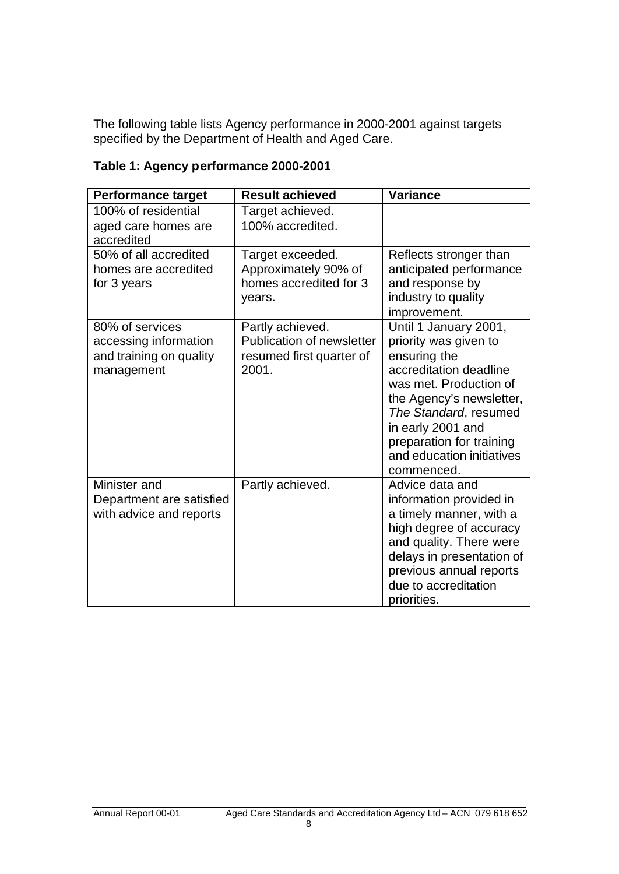The following table lists Agency performance in 2000-2001 against targets specified by the Department of Health and Aged Care.

| <b>Performance target</b>                                                         | <b>Result achieved</b>                                                                    | <b>Variance</b>                                                                                                                                                                                                                                                     |
|-----------------------------------------------------------------------------------|-------------------------------------------------------------------------------------------|---------------------------------------------------------------------------------------------------------------------------------------------------------------------------------------------------------------------------------------------------------------------|
| 100% of residential<br>aged care homes are<br>accredited                          | Target achieved.<br>100% accredited.                                                      |                                                                                                                                                                                                                                                                     |
| 50% of all accredited<br>homes are accredited<br>for 3 years                      | Target exceeded.<br>Approximately 90% of<br>homes accredited for 3<br>years.              | Reflects stronger than<br>anticipated performance<br>and response by<br>industry to quality<br>improvement.                                                                                                                                                         |
| 80% of services<br>accessing information<br>and training on quality<br>management | Partly achieved.<br><b>Publication of newsletter</b><br>resumed first quarter of<br>2001. | Until 1 January 2001,<br>priority was given to<br>ensuring the<br>accreditation deadline<br>was met. Production of<br>the Agency's newsletter,<br>The Standard, resumed<br>in early 2001 and<br>preparation for training<br>and education initiatives<br>commenced. |
| Minister and<br>Department are satisfied<br>with advice and reports               | Partly achieved.                                                                          | Advice data and<br>information provided in<br>a timely manner, with a<br>high degree of accuracy<br>and quality. There were<br>delays in presentation of<br>previous annual reports<br>due to accreditation<br>priorities.                                          |

# **Table 1: Agency performance 2000-2001**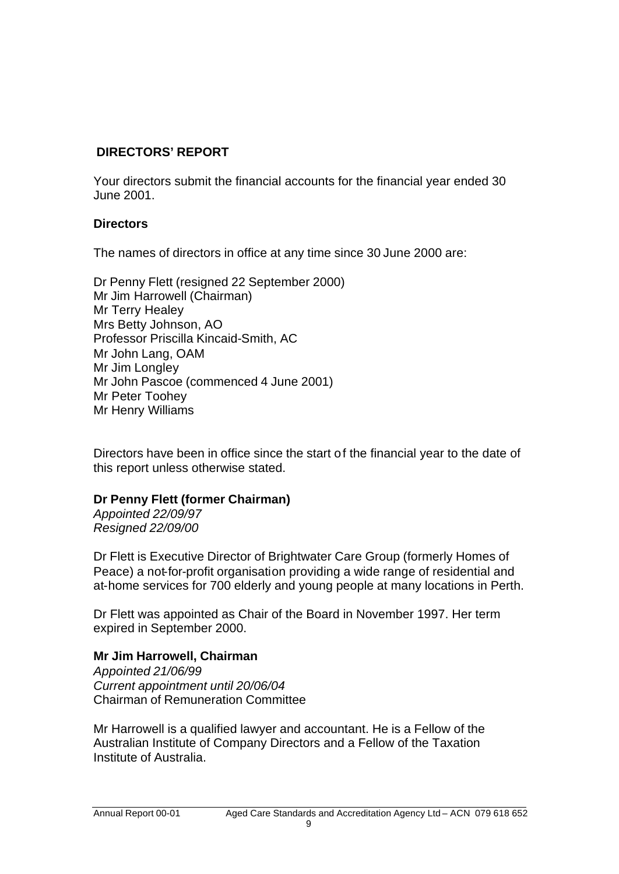# **DIRECTORS' REPORT**

Your directors submit the financial accounts for the financial year ended 30 June 2001.

# **Directors**

The names of directors in office at any time since 30 June 2000 are:

Dr Penny Flett (resigned 22 September 2000) Mr Jim Harrowell (Chairman) Mr Terry Healey Mrs Betty Johnson, AO Professor Priscilla Kincaid-Smith, AC Mr John Lang, OAM Mr Jim Longley Mr John Pascoe (commenced 4 June 2001) Mr Peter Toohey Mr Henry Williams

Directors have been in office since the start of the financial year to the date of this report unless otherwise stated.

# **Dr Penny Flett (former Chairman)**

*Appointed 22/09/97 Resigned 22/09/00*

Dr Flett is Executive Director of Brightwater Care Group (formerly Homes of Peace) a not-for-profit organisation providing a wide range of residential and at-home services for 700 elderly and young people at many locations in Perth.

Dr Flett was appointed as Chair of the Board in November 1997. Her term expired in September 2000.

# **Mr Jim Harrowell, Chairman**

*Appointed 21/06/99 Current appointment until 20/06/04* Chairman of Remuneration Committee

Mr Harrowell is a qualified lawyer and accountant. He is a Fellow of the Australian Institute of Company Directors and a Fellow of the Taxation Institute of Australia.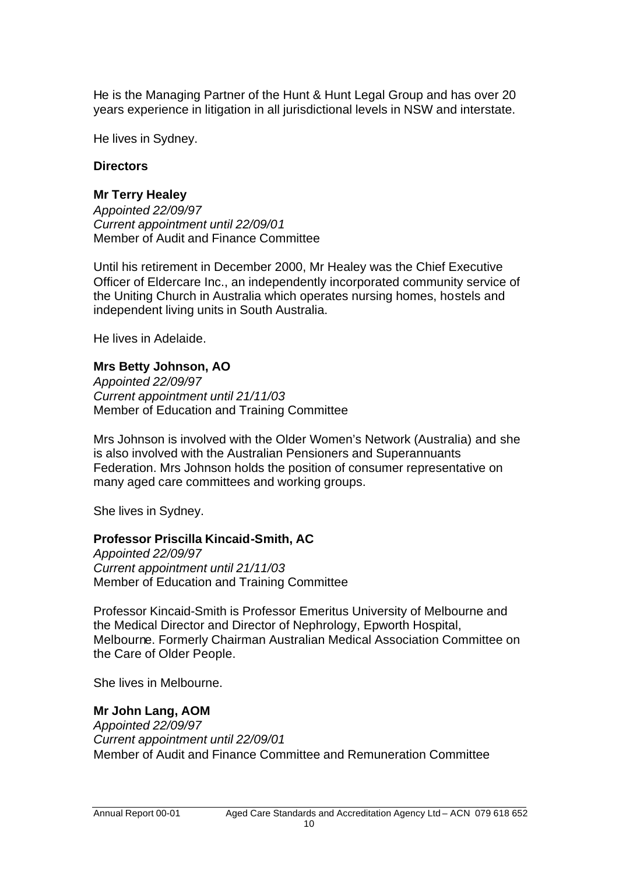He is the Managing Partner of the Hunt & Hunt Legal Group and has over 20 years experience in litigation in all jurisdictional levels in NSW and interstate.

He lives in Sydney.

# **Directors**

# **Mr Terry Healey**

*Appointed 22/09/97 Current appointment until 22/09/01* Member of Audit and Finance Committee

Until his retirement in December 2000, Mr Healey was the Chief Executive Officer of Eldercare Inc., an independently incorporated community service of the Uniting Church in Australia which operates nursing homes, hostels and independent living units in South Australia.

He lives in Adelaide.

# **Mrs Betty Johnson, AO**

*Appointed 22/09/97 Current appointment until 21/11/03* Member of Education and Training Committee

Mrs Johnson is involved with the Older Women's Network (Australia) and she is also involved with the Australian Pensioners and Superannuants Federation. Mrs Johnson holds the position of consumer representative on many aged care committees and working groups.

She lives in Sydney.

# **Professor Priscilla Kincaid-Smith, AC**

*Appointed 22/09/97 Current appointment until 21/11/03* Member of Education and Training Committee

Professor Kincaid-Smith is Professor Emeritus University of Melbourne and the Medical Director and Director of Nephrology, Epworth Hospital, Melbourne. Formerly Chairman Australian Medical Association Committee on the Care of Older People.

She lives in Melbourne.

# **Mr John Lang, AOM**

*Appointed 22/09/97 Current appointment until 22/09/01* Member of Audit and Finance Committee and Remuneration Committee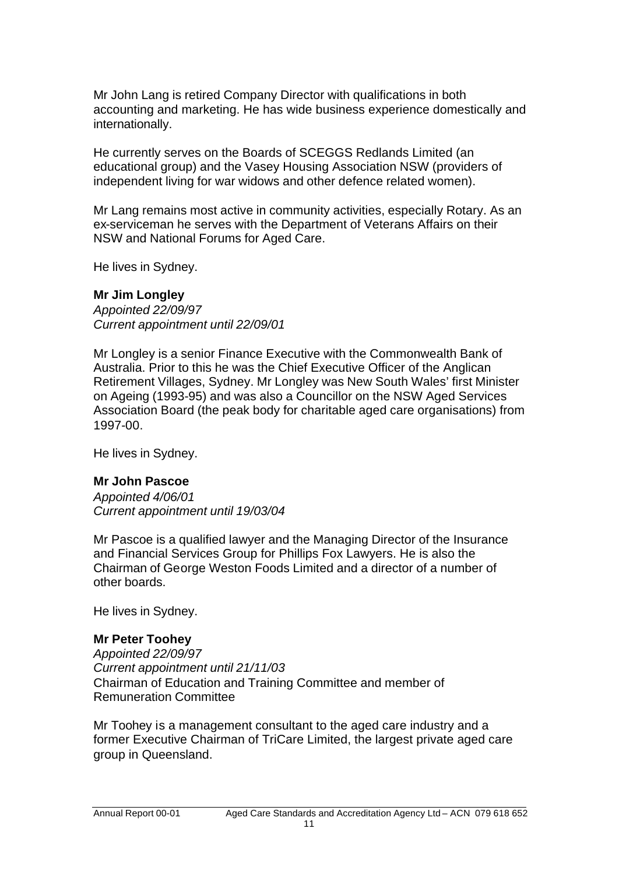Mr John Lang is retired Company Director with qualifications in both accounting and marketing. He has wide business experience domestically and internationally.

He currently serves on the Boards of SCEGGS Redlands Limited (an educational group) and the Vasey Housing Association NSW (providers of independent living for war widows and other defence related women).

Mr Lang remains most active in community activities, especially Rotary. As an ex-serviceman he serves with the Department of Veterans Affairs on their NSW and National Forums for Aged Care.

He lives in Sydney.

## **Mr Jim Longley**

*Appointed 22/09/97 Current appointment until 22/09/01*

Mr Longley is a senior Finance Executive with the Commonwealth Bank of Australia. Prior to this he was the Chief Executive Officer of the Anglican Retirement Villages, Sydney. Mr Longley was New South Wales' first Minister on Ageing (1993-95) and was also a Councillor on the NSW Aged Services Association Board (the peak body for charitable aged care organisations) from 1997-00.

He lives in Sydney.

# **Mr John Pascoe**

*Appointed 4/06/01 Current appointment until 19/03/04*

Mr Pascoe is a qualified lawyer and the Managing Director of the Insurance and Financial Services Group for Phillips Fox Lawyers. He is also the Chairman of George Weston Foods Limited and a director of a number of other boards.

He lives in Sydney.

# **Mr Peter Toohey**

*Appointed 22/09/97 Current appointment until 21/11/03* Chairman of Education and Training Committee and member of Remuneration Committee

Mr Toohey is a management consultant to the aged care industry and a former Executive Chairman of TriCare Limited, the largest private aged care group in Queensland.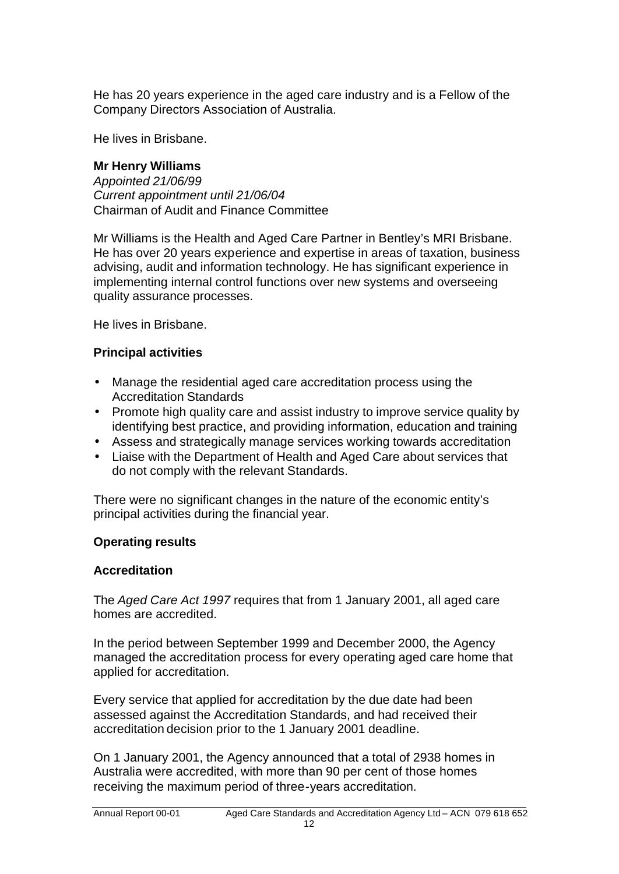He has 20 years experience in the aged care industry and is a Fellow of the Company Directors Association of Australia.

He lives in Brisbane.

# **Mr Henry Williams**

*Appointed 21/06/99 Current appointment until 21/06/04* Chairman of Audit and Finance Committee

Mr Williams is the Health and Aged Care Partner in Bentley's MRI Brisbane. He has over 20 years experience and expertise in areas of taxation, business advising, audit and information technology. He has significant experience in implementing internal control functions over new systems and overseeing quality assurance processes.

He lives in Brisbane.

# **Principal activities**

- Manage the residential aged care accreditation process using the Accreditation Standards
- Promote high quality care and assist industry to improve service quality by identifying best practice, and providing information, education and training
- Assess and strategically manage services working towards accreditation
- Liaise with the Department of Health and Aged Care about services that do not comply with the relevant Standards.

There were no significant changes in the nature of the economic entity's principal activities during the financial year.

# **Operating results**

# **Accreditation**

The *Aged Care Act 1997* requires that from 1 January 2001, all aged care homes are accredited.

In the period between September 1999 and December 2000, the Agency managed the accreditation process for every operating aged care home that applied for accreditation.

Every service that applied for accreditation by the due date had been assessed against the Accreditation Standards, and had received their accreditation decision prior to the 1 January 2001 deadline.

On 1 January 2001, the Agency announced that a total of 2938 homes in Australia were accredited, with more than 90 per cent of those homes receiving the maximum period of three-years accreditation.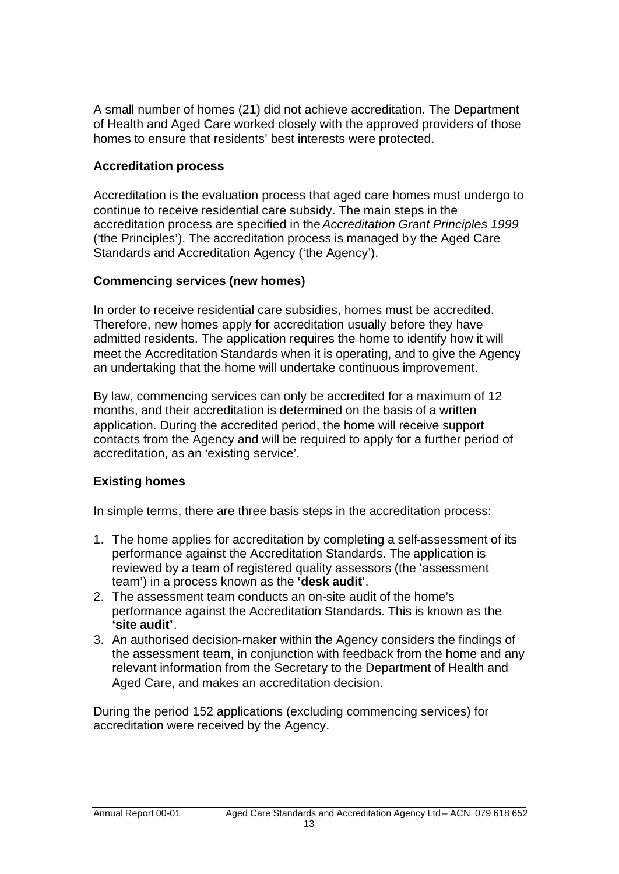A small number of homes (21) did not achieve accreditation. The Department of Health and Aged Care worked closely with the approved providers of those homes to ensure that residents' best interests were protected.

# **Accreditation process**

Accreditation is the evaluation process that aged care homes must undergo to continue to receive residential care subsidy. The main steps in the accreditation process are specified in the *Accreditation Grant Principles 1999* ('the Principles'). The accreditation process is managed by the Aged Care Standards and Accreditation Agency ('the Agency').

# **Commencing services (new homes)**

In order to receive residential care subsidies, homes must be accredited. Therefore, new homes apply for accreditation usually before they have admitted residents. The application requires the home to identify how it will meet the Accreditation Standards when it is operating, and to give the Agency an undertaking that the home will undertake continuous improvement.

By law, commencing services can only be accredited for a maximum of 12 months, and their accreditation is determined on the basis of a written application. During the accredited period, the home will receive support contacts from the Agency and will be required to apply for a further period of accreditation, as an 'existing service'.

# **Existing homes**

In simple terms, there are three basis steps in the accreditation process:

- 1. The home applies for accreditation by completing a self-assessment of its performance against the Accreditation Standards. The application is reviewed by a team of registered quality assessors (the 'assessment team') in a process known as the **'desk audit**'.
- 2. The assessment team conducts an on-site audit of the home's performance against the Accreditation Standards. This is known as the **'site audit'**.
- 3. An authorised decision-maker within the Agency considers the findings of the assessment team, in conjunction with feedback from the home and any relevant information from the Secretary to the Department of Health and Aged Care, and makes an accreditation decision.

During the period 152 applications (excluding commencing services) for accreditation were received by the Agency.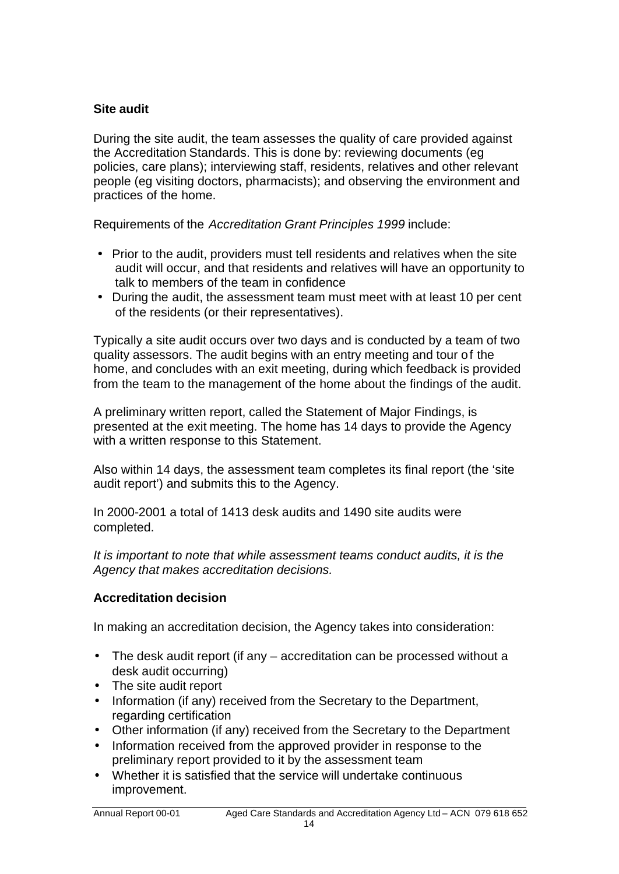# **Site audit**

During the site audit, the team assesses the quality of care provided against the Accreditation Standards. This is done by: reviewing documents (eg policies, care plans); interviewing staff, residents, relatives and other relevant people (eg visiting doctors, pharmacists); and observing the environment and practices of the home.

Requirements of the *Accreditation Grant Principles 1999* include:

- Prior to the audit, providers must tell residents and relatives when the site audit will occur, and that residents and relatives will have an opportunity to talk to members of the team in confidence
- During the audit, the assessment team must meet with at least 10 per cent of the residents (or their representatives).

Typically a site audit occurs over two days and is conducted by a team of two quality assessors. The audit begins with an entry meeting and tour of the home, and concludes with an exit meeting, during which feedback is provided from the team to the management of the home about the findings of the audit.

A preliminary written report, called the Statement of Major Findings, is presented at the exit meeting. The home has 14 days to provide the Agency with a written response to this Statement.

Also within 14 days, the assessment team completes its final report (the 'site audit report') and submits this to the Agency.

In 2000-2001 a total of 1413 desk audits and 1490 site audits were completed.

*It is important to note that while assessment teams conduct audits, it is the Agency that makes accreditation decisions.*

# **Accreditation decision**

In making an accreditation decision, the Agency takes into consideration:

- The desk audit report (if any accreditation can be processed without a desk audit occurring)
- The site audit report
- Information (if any) received from the Secretary to the Department, regarding certification
- Other information (if any) received from the Secretary to the Department
- Information received from the approved provider in response to the preliminary report provided to it by the assessment team
- Whether it is satisfied that the service will undertake continuous improvement.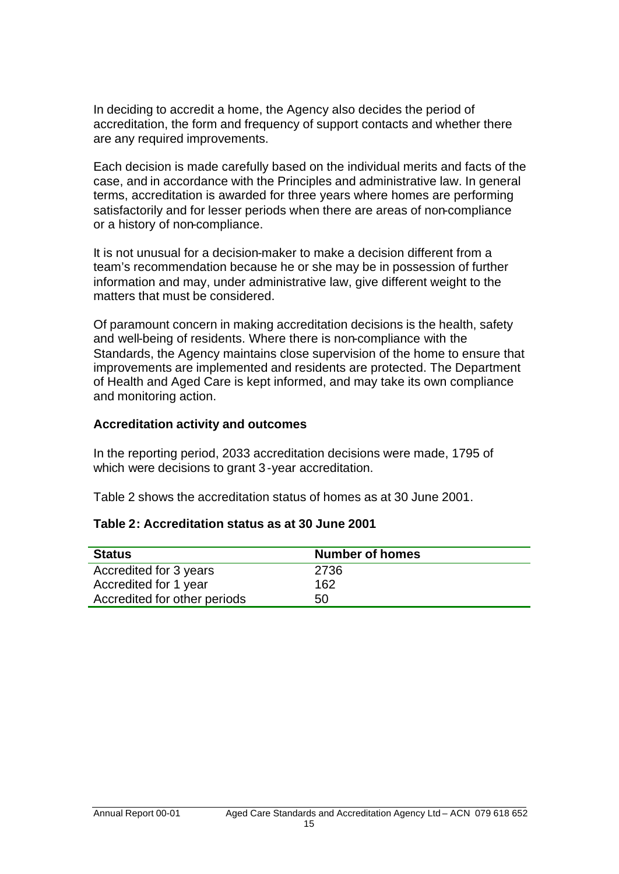In deciding to accredit a home, the Agency also decides the period of accreditation, the form and frequency of support contacts and whether there are any required improvements.

Each decision is made carefully based on the individual merits and facts of the case, and in accordance with the Principles and administrative law. In general terms, accreditation is awarded for three years where homes are performing satisfactorily and for lesser periods when there are areas of non-compliance or a history of non-compliance.

It is not unusual for a decision-maker to make a decision different from a team's recommendation because he or she may be in possession of further information and may, under administrative law, give different weight to the matters that must be considered.

Of paramount concern in making accreditation decisions is the health, safety and well-being of residents. Where there is non-compliance with the Standards, the Agency maintains close supervision of the home to ensure that improvements are implemented and residents are protected. The Department of Health and Aged Care is kept informed, and may take its own compliance and monitoring action.

# **Accreditation activity and outcomes**

In the reporting period, 2033 accreditation decisions were made, 1795 of which were decisions to grant 3-year accreditation.

Table 2 shows the accreditation status of homes as at 30 June 2001.

# **Table 2: Accreditation status as at 30 June 2001**

| <b>Status</b>                | <b>Number of homes</b> |
|------------------------------|------------------------|
| Accredited for 3 years       | 2736                   |
| Accredited for 1 year        | 162                    |
| Accredited for other periods | 50                     |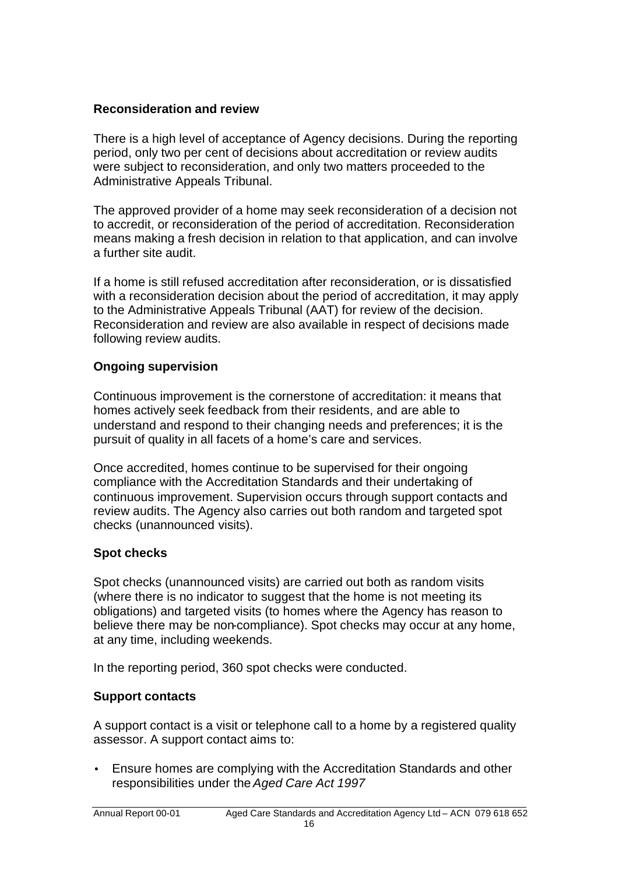# **Reconsideration and review**

There is a high level of acceptance of Agency decisions. During the reporting period, only two per cent of decisions about accreditation or review audits were subject to reconsideration, and only two matters proceeded to the Administrative Appeals Tribunal.

The approved provider of a home may seek reconsideration of a decision not to accredit, or reconsideration of the period of accreditation. Reconsideration means making a fresh decision in relation to that application, and can involve a further site audit.

If a home is still refused accreditation after reconsideration, or is dissatisfied with a reconsideration decision about the period of accreditation, it may apply to the Administrative Appeals Tribunal (AAT) for review of the decision. Reconsideration and review are also available in respect of decisions made following review audits.

# **Ongoing supervision**

Continuous improvement is the cornerstone of accreditation: it means that homes actively seek feedback from their residents, and are able to understand and respond to their changing needs and preferences; it is the pursuit of quality in all facets of a home's care and services.

Once accredited, homes continue to be supervised for their ongoing compliance with the Accreditation Standards and their undertaking of continuous improvement. Supervision occurs through support contacts and review audits. The Agency also carries out both random and targeted spot checks (unannounced visits).

# **Spot checks**

Spot checks (unannounced visits) are carried out both as random visits (where there is no indicator to suggest that the home is not meeting its obligations) and targeted visits (to homes where the Agency has reason to believe there may be non-compliance). Spot checks may occur at any home, at any time, including weekends.

In the reporting period, 360 spot checks were conducted.

# **Support contacts**

A support contact is a visit or telephone call to a home by a registered quality assessor. A support contact aims to:

• Ensure homes are complying with the Accreditation Standards and other responsibilities under the *Aged Care Act 1997*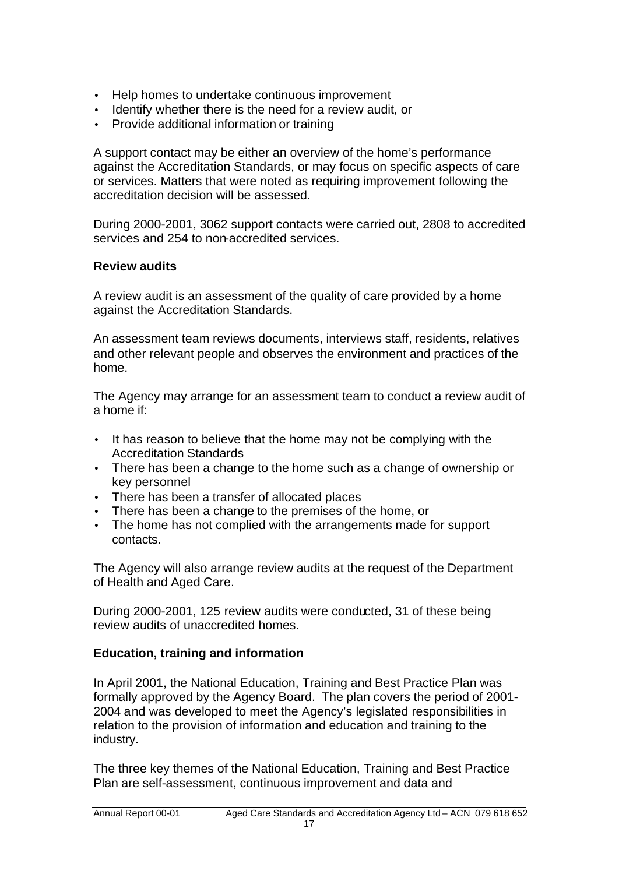- Help homes to undertake continuous improvement
- Identify whether there is the need for a review audit, or
- Provide additional information or training

A support contact may be either an overview of the home's performance against the Accreditation Standards, or may focus on specific aspects of care or services. Matters that were noted as requiring improvement following the accreditation decision will be assessed.

During 2000-2001, 3062 support contacts were carried out, 2808 to accredited services and 254 to non-accredited services.

# **Review audits**

A review audit is an assessment of the quality of care provided by a home against the Accreditation Standards.

An assessment team reviews documents, interviews staff, residents, relatives and other relevant people and observes the environment and practices of the home.

The Agency may arrange for an assessment team to conduct a review audit of a home if:

- It has reason to believe that the home may not be complying with the Accreditation Standards
- There has been a change to the home such as a change of ownership or key personnel
- There has been a transfer of allocated places
- There has been a change to the premises of the home, or
- The home has not complied with the arrangements made for support contacts.

The Agency will also arrange review audits at the request of the Department of Health and Aged Care.

During 2000-2001, 125 review audits were conducted, 31 of these being review audits of unaccredited homes.

# **Education, training and information**

In April 2001, the National Education, Training and Best Practice Plan was formally approved by the Agency Board. The plan covers the period of 2001- 2004 and was developed to meet the Agency's legislated responsibilities in relation to the provision of information and education and training to the industry.

The three key themes of the National Education, Training and Best Practice Plan are self-assessment, continuous improvement and data and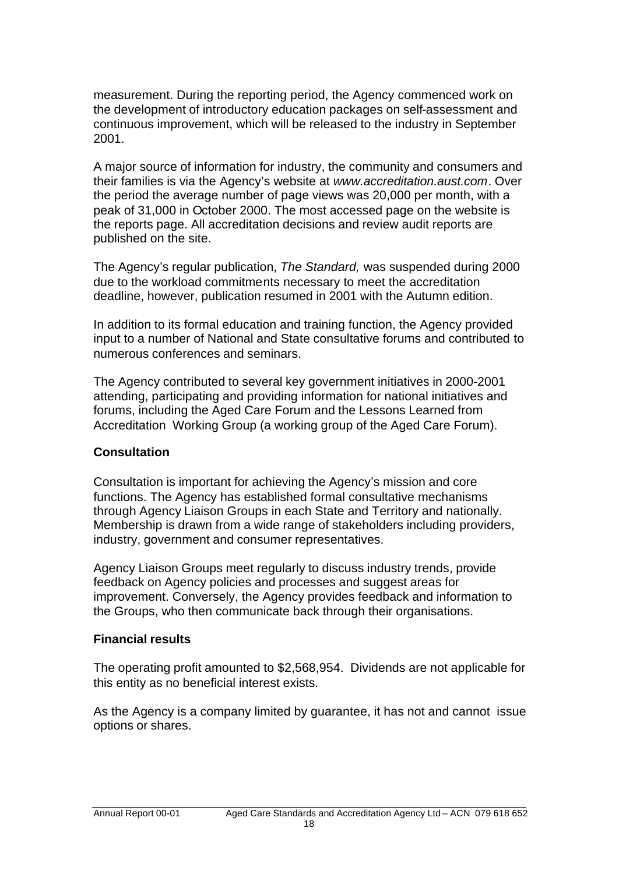measurement. During the reporting period, the Agency commenced work on the development of introductory education packages on self-assessment and continuous improvement, which will be released to the industry in September 2001.

A major source of information for industry, the community and consumers and their families is via the Agency's website at *www.accreditation.aust.com*. Over the period the average number of page views was 20,000 per month, with a peak of 31,000 in October 2000. The most accessed page on the website is the reports page. All accreditation decisions and review audit reports are published on the site.

The Agency's regular publication, *The Standard,* was suspended during 2000 due to the workload commitments necessary to meet the accreditation deadline, however, publication resumed in 2001 with the Autumn edition.

In addition to its formal education and training function, the Agency provided input to a number of National and State consultative forums and contributed to numerous conferences and seminars.

The Agency contributed to several key government initiatives in 2000-2001 attending, participating and providing information for national initiatives and forums, including the Aged Care Forum and the Lessons Learned from Accreditation Working Group (a working group of the Aged Care Forum).

# **Consultation**

Consultation is important for achieving the Agency's mission and core functions. The Agency has established formal consultative mechanisms through Agency Liaison Groups in each State and Territory and nationally. Membership is drawn from a wide range of stakeholders including providers, industry, government and consumer representatives.

Agency Liaison Groups meet regularly to discuss industry trends, provide feedback on Agency policies and processes and suggest areas for improvement. Conversely, the Agency provides feedback and information to the Groups, who then communicate back through their organisations.

# **Financial results**

The operating profit amounted to \$2,568,954. Dividends are not applicable for this entity as no beneficial interest exists.

As the Agency is a company limited by guarantee, it has not and cannot issue options or shares.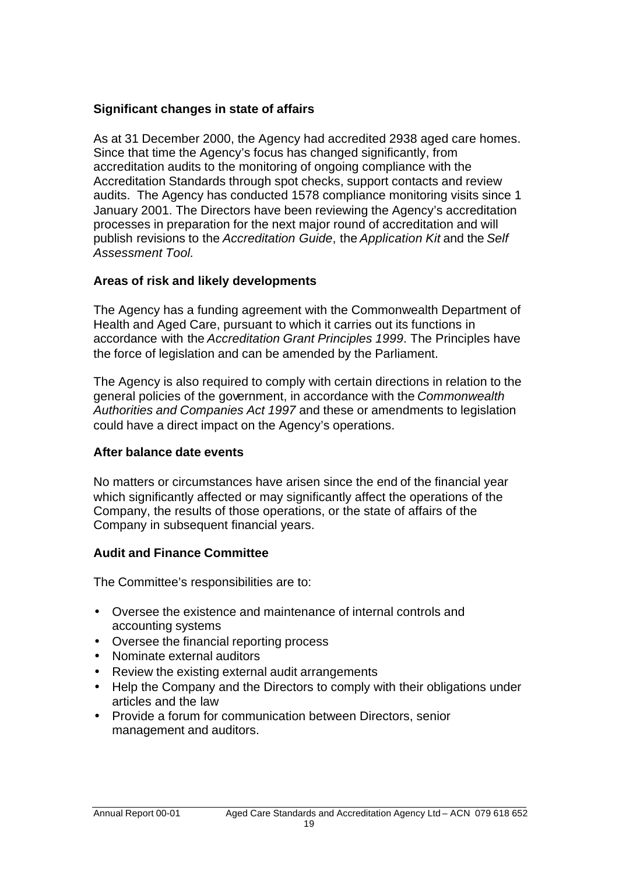# **Significant changes in state of affairs**

As at 31 December 2000, the Agency had accredited 2938 aged care homes. Since that time the Agency's focus has changed significantly, from accreditation audits to the monitoring of ongoing compliance with the Accreditation Standards through spot checks, support contacts and review audits. The Agency has conducted 1578 compliance monitoring visits since 1 January 2001. The Directors have been reviewing the Agency's accreditation processes in preparation for the next major round of accreditation and will publish revisions to the *Accreditation Guide*, the *Application Kit* and the *Self Assessment Tool.*

# **Areas of risk and likely developments**

The Agency has a funding agreement with the Commonwealth Department of Health and Aged Care, pursuant to which it carries out its functions in accordance with the *Accreditation Grant Principles 1999*. The Principles have the force of legislation and can be amended by the Parliament.

The Agency is also required to comply with certain directions in relation to the general policies of the government, in accordance with the *Commonwealth Authorities and Companies Act 1997* and these or amendments to legislation could have a direct impact on the Agency's operations.

# **After balance date events**

No matters or circumstances have arisen since the end of the financial year which significantly affected or may significantly affect the operations of the Company, the results of those operations, or the state of affairs of the Company in subsequent financial years.

# **Audit and Finance Committee**

The Committee's responsibilities are to:

- Oversee the existence and maintenance of internal controls and accounting systems
- Oversee the financial reporting process
- Nominate external auditors
- Review the existing external audit arrangements
- Help the Company and the Directors to comply with their obligations under articles and the law
- Provide a forum for communication between Directors, senior management and auditors.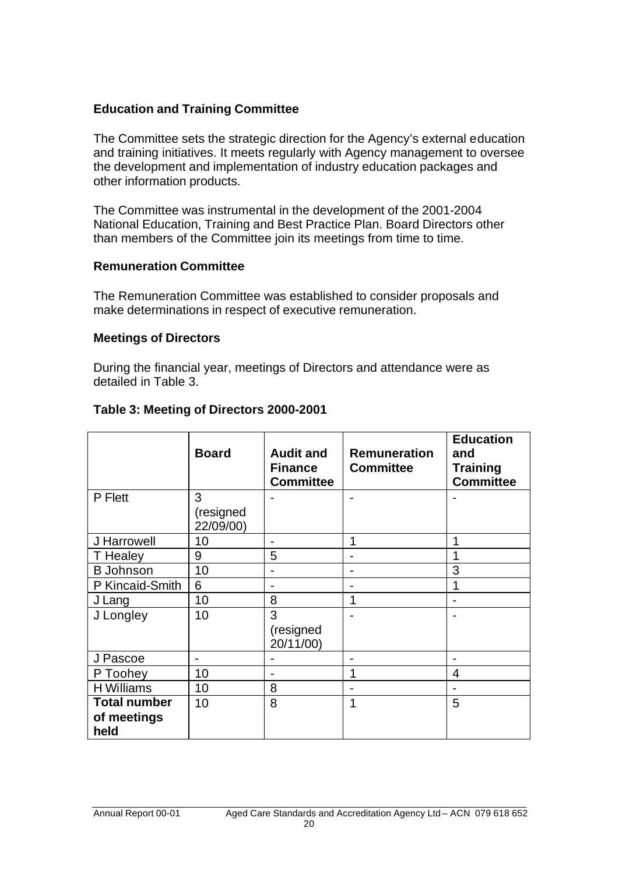# **Education and Training Committee**

The Committee sets the strategic direction for the Agency's external education and training initiatives. It meets regularly with Agency management to oversee the development and implementation of industry education packages and other information products.

The Committee was instrumental in the development of the 2001-2004 National Education, Training and Best Practice Plan. Board Directors other than members of the Committee join its meetings from time to time.

## **Remuneration Committee**

The Remuneration Committee was established to consider proposals and make determinations in respect of executive remuneration.

## **Meetings of Directors**

During the financial year, meetings of Directors and attendance were as detailed in Table 3.

|                     | <b>Board</b>             | <b>Audit and</b><br><b>Finance</b><br><b>Committee</b> | <b>Remuneration</b><br><b>Committee</b> | <b>Education</b><br>and<br><b>Training</b><br><b>Committee</b> |
|---------------------|--------------------------|--------------------------------------------------------|-----------------------------------------|----------------------------------------------------------------|
| P Flett             | 3<br>(resigned           |                                                        |                                         |                                                                |
|                     | 22/09/00)                |                                                        |                                         |                                                                |
| J Harrowell         | 10                       |                                                        | 1                                       |                                                                |
| T Healey            | 9                        | 5                                                      | $\blacksquare$                          |                                                                |
| <b>B</b> Johnson    | 10                       |                                                        |                                         | 3                                                              |
| P Kincaid-Smith     | 6                        |                                                        |                                         | 1                                                              |
| J Lang              | 10                       | 8                                                      | 1                                       |                                                                |
| J Longley           | 10                       | 3<br>(resigned                                         |                                         |                                                                |
|                     |                          | 20/11/00)                                              |                                         |                                                                |
| J Pascoe            | $\overline{\phantom{a}}$ |                                                        |                                         |                                                                |
| P Toohey            | 10                       |                                                        | 1                                       | 4                                                              |
| <b>H</b> Williams   | 10                       | 8                                                      |                                         |                                                                |
| <b>Total number</b> | 10                       | 8                                                      | 1                                       | 5                                                              |
| of meetings         |                          |                                                        |                                         |                                                                |
| held                |                          |                                                        |                                         |                                                                |

# **Table 3: Meeting of Directors 2000-2001**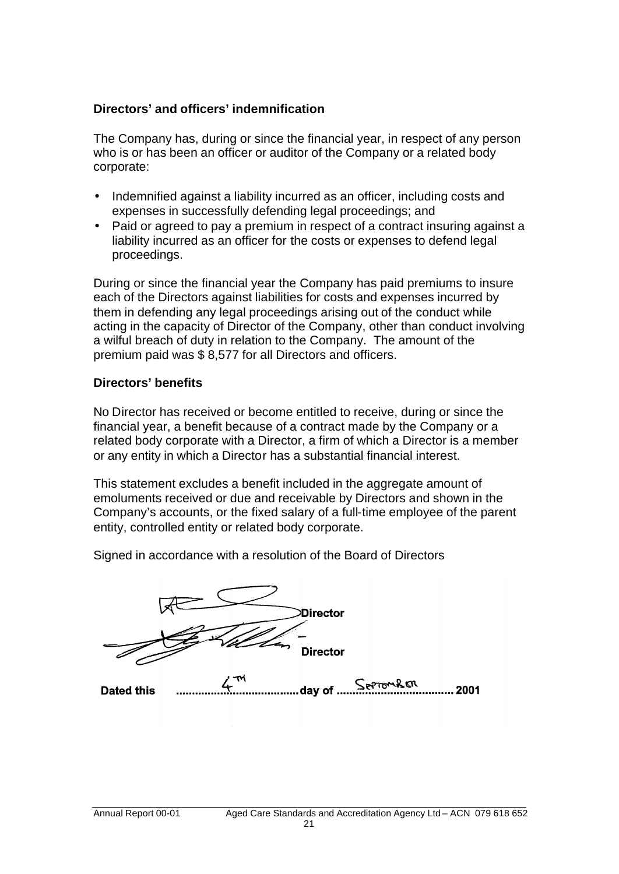# **Directors' and officers' indemnification**

The Company has, during or since the financial year, in respect of any person who is or has been an officer or auditor of the Company or a related body corporate:

- Indemnified against a liability incurred as an officer, including costs and expenses in successfully defending legal proceedings; and
- Paid or agreed to pay a premium in respect of a contract insuring against a liability incurred as an officer for the costs or expenses to defend legal proceedings.

During or since the financial year the Company has paid premiums to insure each of the Directors against liabilities for costs and expenses incurred by them in defending any legal proceedings arising out of the conduct while acting in the capacity of Director of the Company, other than conduct involving a wilful breach of duty in relation to the Company. The amount of the premium paid was \$ 8,577 for all Directors and officers.

# **Directors' benefits**

No Director has received or become entitled to receive, during or since the financial year, a benefit because of a contract made by the Company or a related body corporate with a Director, a firm of which a Director is a member or any entity in which a Director has a substantial financial interest.

This statement excludes a benefit included in the aggregate amount of emoluments received or due and receivable by Directors and shown in the Company's accounts, or the fixed salary of a full-time employee of the parent entity, controlled entity or related body corporate.

Signed in accordance with a resolution of the Board of Directors

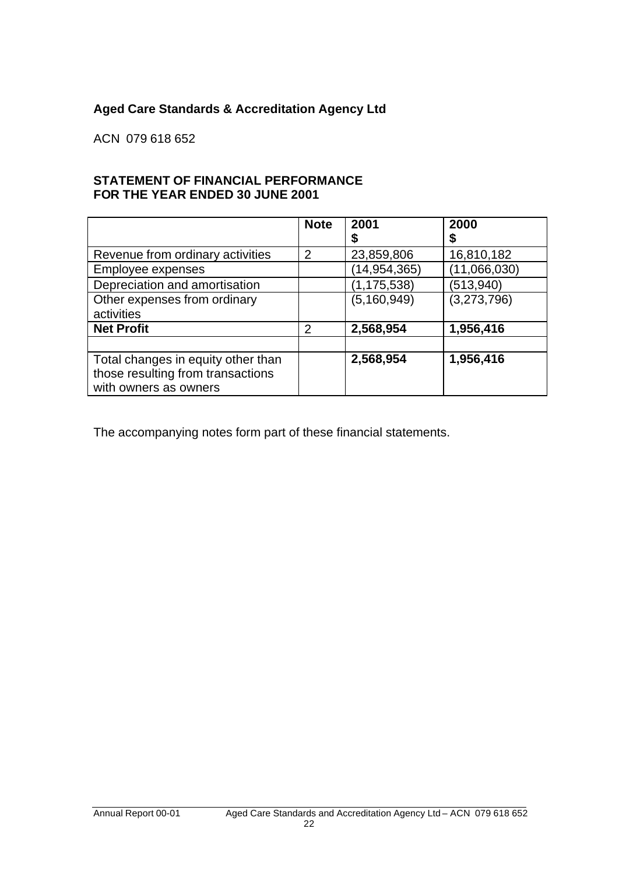# **Aged Care Standards & Accreditation Agency Ltd**

ACN 079 618 652

## **STATEMENT OF FINANCIAL PERFORMANCE FOR THE YEAR ENDED 30 JUNE 2001**

|                                    | <b>Note</b>   | 2001           | 2000         |
|------------------------------------|---------------|----------------|--------------|
|                                    |               |                |              |
| Revenue from ordinary activities   | 2             | 23,859,806     | 16,810,182   |
| Employee expenses                  |               | (14, 954, 365) | (11,066,030) |
| Depreciation and amortisation      |               | (1, 175, 538)  | (513, 940)   |
| Other expenses from ordinary       |               | (5, 160, 949)  | (3,273,796)  |
| activities                         |               |                |              |
| <b>Net Profit</b>                  | $\mathcal{P}$ | 2,568,954      | 1,956,416    |
|                                    |               |                |              |
| Total changes in equity other than |               | 2,568,954      | 1,956,416    |
| those resulting from transactions  |               |                |              |
| with owners as owners              |               |                |              |

The accompanying notes form part of these financial statements.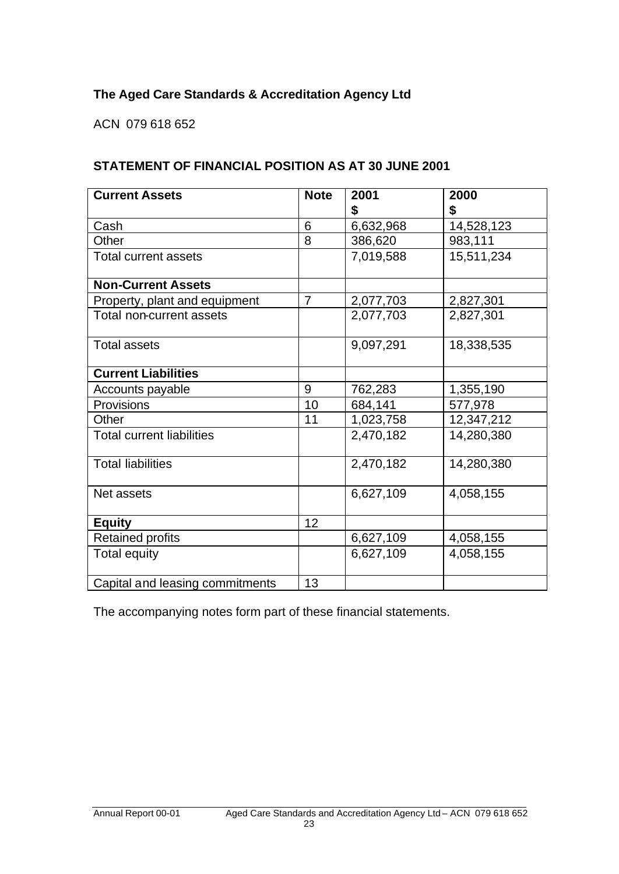# **The Aged Care Standards & Accreditation Agency Ltd**

ACN 079 618 652

# **STATEMENT OF FINANCIAL POSITION AS AT 30 JUNE 2001**

| <b>Current Assets</b>            | <b>Note</b>    | 2001<br>\$ | 2000<br>\$ |
|----------------------------------|----------------|------------|------------|
| Cash                             | 6              | 6,632,968  | 14,528,123 |
| Other                            | 8              | 386,620    | 983,111    |
| <b>Total current assets</b>      |                | 7,019,588  | 15,511,234 |
| <b>Non-Current Assets</b>        |                |            |            |
| Property, plant and equipment    | $\overline{7}$ | 2,077,703  | 2,827,301  |
| Total non-current assets         |                | 2,077,703  | 2,827,301  |
| <b>Total assets</b>              |                | 9,097,291  | 18,338,535 |
| <b>Current Liabilities</b>       |                |            |            |
| Accounts payable                 | 9              | 762,283    | 1,355,190  |
| Provisions                       | 10             | 684,141    | 577,978    |
| Other                            | 11             | 1,023,758  | 12,347,212 |
| <b>Total current liabilities</b> |                | 2,470,182  | 14,280,380 |
| <b>Total liabilities</b>         |                | 2,470,182  | 14,280,380 |
| Net assets                       |                | 6,627,109  | 4,058,155  |
| <b>Equity</b>                    | 12             |            |            |
| <b>Retained profits</b>          |                | 6,627,109  | 4,058,155  |
| <b>Total equity</b>              |                | 6,627,109  | 4,058,155  |
| Capital and leasing commitments  | 13             |            |            |

The accompanying notes form part of these financial statements.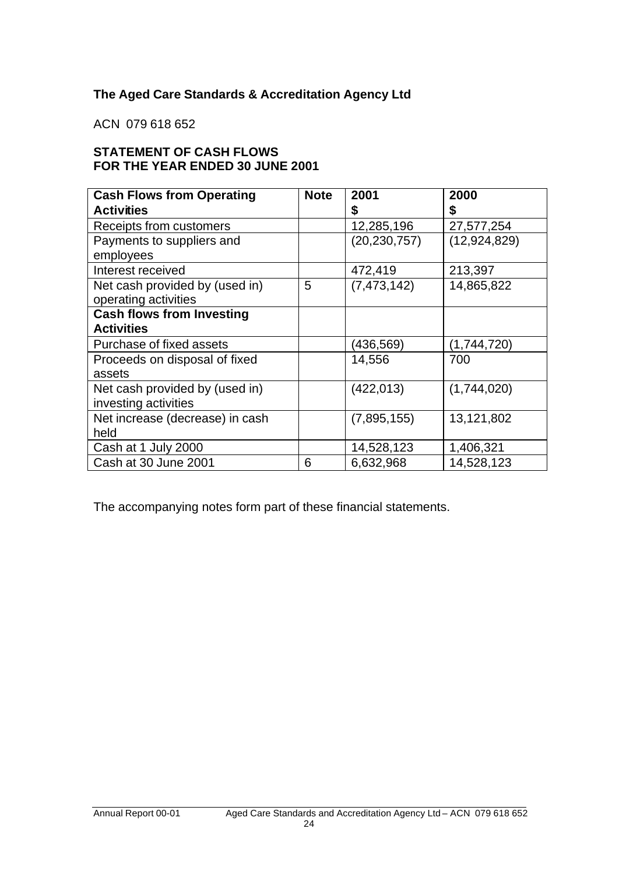# **The Aged Care Standards & Accreditation Agency Ltd**

ACN 079 618 652

# **STATEMENT OF CASH FLOWS FOR THE YEAR ENDED 30 JUNE 2001**

| <b>Cash Flows from Operating</b> | <b>Note</b> | 2001           | 2000           |
|----------------------------------|-------------|----------------|----------------|
| <b>Activities</b>                |             | \$             | \$             |
| Receipts from customers          |             | 12,285,196     | 27,577,254     |
| Payments to suppliers and        |             | (20, 230, 757) | (12, 924, 829) |
| employees                        |             |                |                |
| Interest received                |             | 472,419        | 213,397        |
| Net cash provided by (used in)   | 5           | (7, 473, 142)  | 14,865,822     |
| operating activities             |             |                |                |
| <b>Cash flows from Investing</b> |             |                |                |
| <b>Activities</b>                |             |                |                |
| Purchase of fixed assets         |             | (436, 569)     | (1,744,720)    |
| Proceeds on disposal of fixed    |             | 14,556         | 700            |
| assets                           |             |                |                |
| Net cash provided by (used in)   |             | (422, 013)     | (1,744,020)    |
| investing activities             |             |                |                |
| Net increase (decrease) in cash  |             | (7,895,155)    | 13,121,802     |
| held                             |             |                |                |
| Cash at 1 July 2000              |             | 14,528,123     | 1,406,321      |
| Cash at 30 June 2001             | 6           | 6,632,968      | 14,528,123     |

The accompanying notes form part of these financial statements.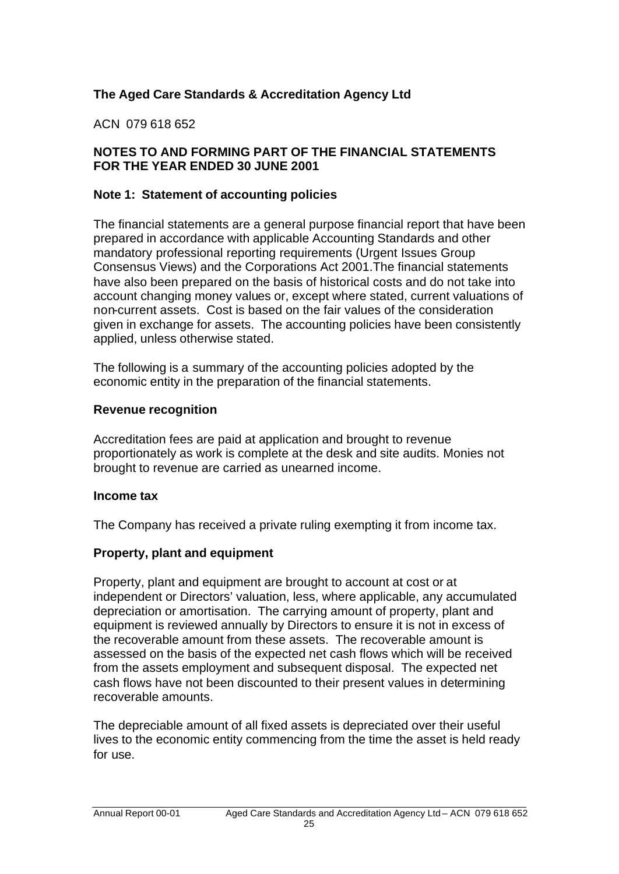# **The Aged Care Standards & Accreditation Agency Ltd**

# ACN 079 618 652

# **NOTES TO AND FORMING PART OF THE FINANCIAL STATEMENTS FOR THE YEAR ENDED 30 JUNE 2001**

# **Note 1: Statement of accounting policies**

The financial statements are a general purpose financial report that have been prepared in accordance with applicable Accounting Standards and other mandatory professional reporting requirements (Urgent Issues Group Consensus Views) and the Corporations Act 2001.The financial statements have also been prepared on the basis of historical costs and do not take into account changing money values or, except where stated, current valuations of non-current assets. Cost is based on the fair values of the consideration given in exchange for assets. The accounting policies have been consistently applied, unless otherwise stated.

The following is a summary of the accounting policies adopted by the economic entity in the preparation of the financial statements.

## **Revenue recognition**

Accreditation fees are paid at application and brought to revenue proportionately as work is complete at the desk and site audits. Monies not brought to revenue are carried as unearned income.

# **Income tax**

The Company has received a private ruling exempting it from income tax.

# **Property, plant and equipment**

Property, plant and equipment are brought to account at cost or at independent or Directors' valuation, less, where applicable, any accumulated depreciation or amortisation. The carrying amount of property, plant and equipment is reviewed annually by Directors to ensure it is not in excess of the recoverable amount from these assets. The recoverable amount is assessed on the basis of the expected net cash flows which will be received from the assets employment and subsequent disposal. The expected net cash flows have not been discounted to their present values in determining recoverable amounts.

The depreciable amount of all fixed assets is depreciated over their useful lives to the economic entity commencing from the time the asset is held ready for use.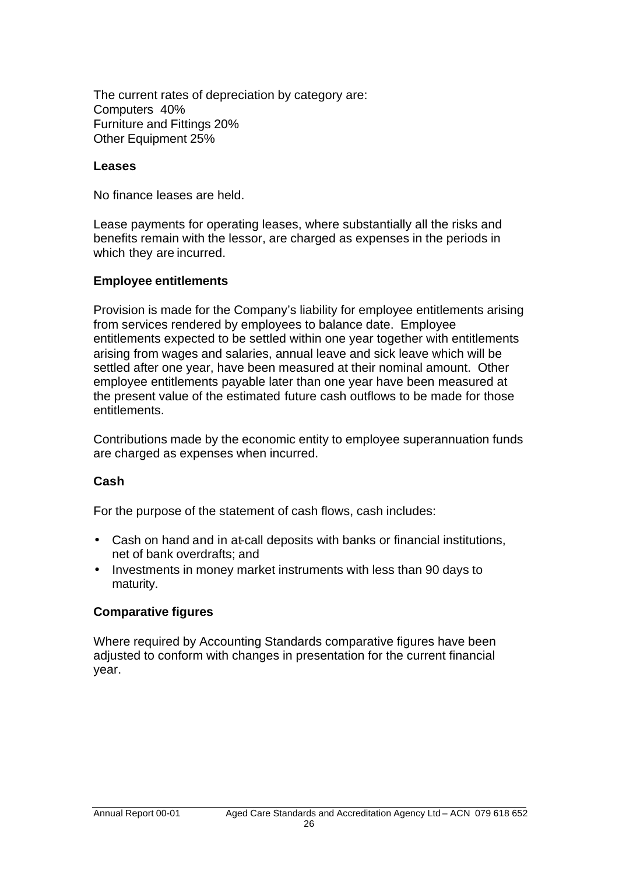The current rates of depreciation by category are: Computers 40% Furniture and Fittings 20% Other Equipment 25%

## **Leases**

No finance leases are held.

Lease payments for operating leases, where substantially all the risks and benefits remain with the lessor, are charged as expenses in the periods in which they are incurred.

## **Employee entitlements**

Provision is made for the Company's liability for employee entitlements arising from services rendered by employees to balance date. Employee entitlements expected to be settled within one year together with entitlements arising from wages and salaries, annual leave and sick leave which will be settled after one year, have been measured at their nominal amount. Other employee entitlements payable later than one year have been measured at the present value of the estimated future cash outflows to be made for those entitlements.

Contributions made by the economic entity to employee superannuation funds are charged as expenses when incurred.

# **Cash**

For the purpose of the statement of cash flows, cash includes:

- Cash on hand and in at-call deposits with banks or financial institutions, net of bank overdrafts; and
- Investments in money market instruments with less than 90 days to maturity.

# **Comparative figures**

Where required by Accounting Standards comparative figures have been adjusted to conform with changes in presentation for the current financial year.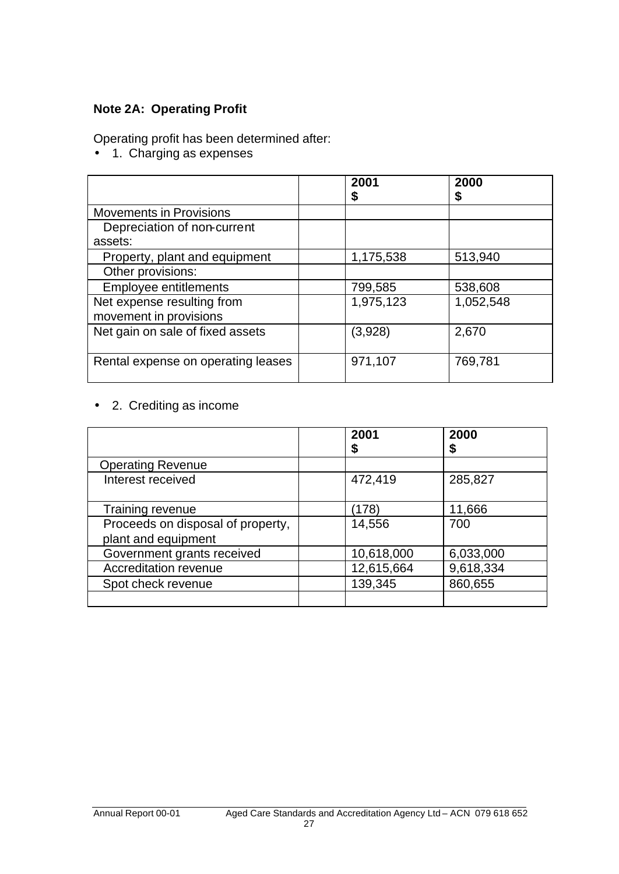# **Note 2A: Operating Profit**

Operating profit has been determined after:

• 1. Charging as expenses

|                                    | 2001<br>\$ | 2000<br>\$ |
|------------------------------------|------------|------------|
| <b>Movements in Provisions</b>     |            |            |
| Depreciation of non-current        |            |            |
| assets:                            |            |            |
| Property, plant and equipment      | 1,175,538  | 513,940    |
| Other provisions:                  |            |            |
| <b>Employee entitlements</b>       | 799,585    | 538,608    |
| Net expense resulting from         | 1,975,123  | 1,052,548  |
| movement in provisions             |            |            |
| Net gain on sale of fixed assets   | (3,928)    | 2,670      |
|                                    |            |            |
| Rental expense on operating leases | 971,107    | 769,781    |
|                                    |            |            |

• 2. Crediting as income

|                                                          | 2001<br>\$ | 2000<br>\$ |
|----------------------------------------------------------|------------|------------|
| <b>Operating Revenue</b>                                 |            |            |
| Interest received                                        | 472,419    | 285,827    |
| Training revenue                                         | (178)      | 11,666     |
| Proceeds on disposal of property,<br>plant and equipment | 14,556     | 700        |
| Government grants received                               | 10,618,000 | 6,033,000  |
| Accreditation revenue                                    | 12,615,664 | 9,618,334  |
| Spot check revenue                                       | 139,345    | 860,655    |
|                                                          |            |            |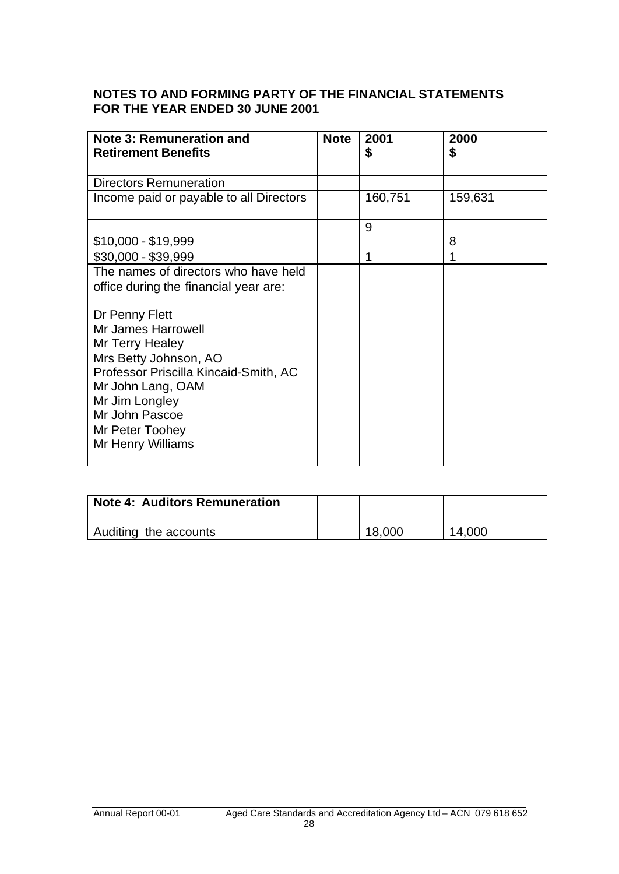# **NOTES TO AND FORMING PARTY OF THE FINANCIAL STATEMENTS FOR THE YEAR ENDED 30 JUNE 2001**

| <b>Note 3: Remuneration and</b><br><b>Retirement Benefits</b> | <b>Note</b> | 2001<br>\$ | 2000<br>\$ |
|---------------------------------------------------------------|-------------|------------|------------|
|                                                               |             |            |            |
| <b>Directors Remuneration</b>                                 |             |            |            |
| Income paid or payable to all Directors                       |             | 160,751    | 159,631    |
|                                                               |             | 9          |            |
| $$10,000 - $19,999$                                           |             |            | 8          |
| $$30,000 - $39,999$                                           |             | 1          |            |
| The names of directors who have held                          |             |            |            |
| office during the financial year are:                         |             |            |            |
| Dr Penny Flett                                                |             |            |            |
| <b>Mr James Harrowell</b>                                     |             |            |            |
| Mr Terry Healey                                               |             |            |            |
| Mrs Betty Johnson, AO                                         |             |            |            |
| Professor Priscilla Kincaid-Smith, AC                         |             |            |            |
| Mr John Lang, OAM                                             |             |            |            |
| Mr Jim Longley                                                |             |            |            |
| Mr John Pascoe                                                |             |            |            |
| Mr Peter Toohey                                               |             |            |            |
| Mr Henry Williams                                             |             |            |            |
|                                                               |             |            |            |

| <b>Note 4: Auditors Remuneration</b> |        |        |
|--------------------------------------|--------|--------|
| Auditing the accounts                | 18,000 | 14,000 |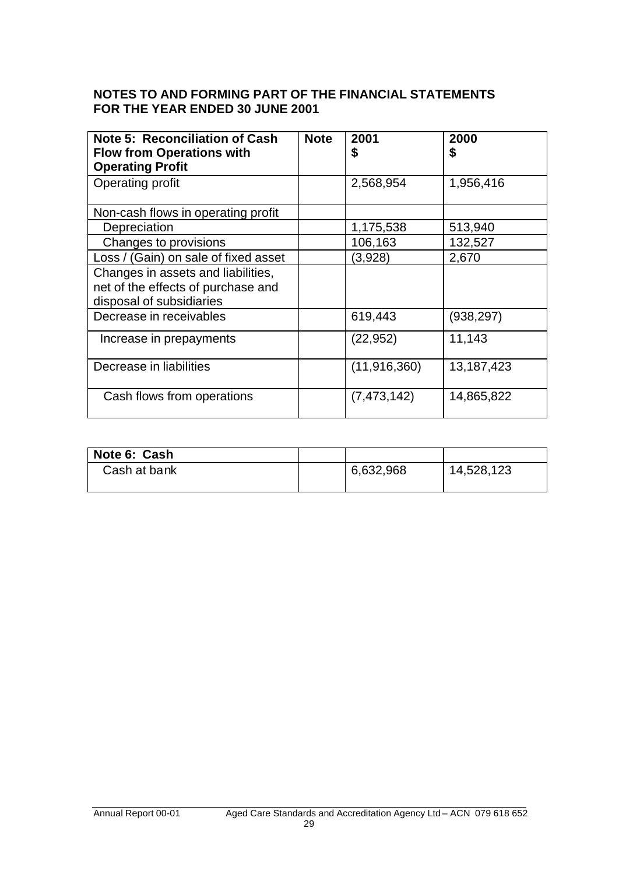## **NOTES TO AND FORMING PART OF THE FINANCIAL STATEMENTS FOR THE YEAR ENDED 30 JUNE 2001**

| <b>Note 5: Reconciliation of Cash</b><br><b>Flow from Operations with</b><br><b>Operating Profit</b> | <b>Note</b> | 2001<br>\$     | 2000<br>\$ |
|------------------------------------------------------------------------------------------------------|-------------|----------------|------------|
| Operating profit                                                                                     |             | 2,568,954      | 1,956,416  |
| Non-cash flows in operating profit                                                                   |             |                |            |
| Depreciation                                                                                         |             | 1,175,538      | 513,940    |
| Changes to provisions                                                                                |             | 106,163        | 132,527    |
| Loss / (Gain) on sale of fixed asset                                                                 |             | (3,928)        | 2,670      |
| Changes in assets and liabilities,<br>net of the effects of purchase and<br>disposal of subsidiaries |             |                |            |
| Decrease in receivables                                                                              |             | 619,443        | (938, 297) |
| Increase in prepayments                                                                              |             | (22, 952)      | 11,143     |
| Decrease in liabilities                                                                              |             | (11, 916, 360) | 13,187,423 |
| Cash flows from operations                                                                           |             | (7, 473, 142)  | 14,865,822 |

| Note 6: Cash |           |            |
|--------------|-----------|------------|
| Cash at bank | 6,632,968 | 14,528,123 |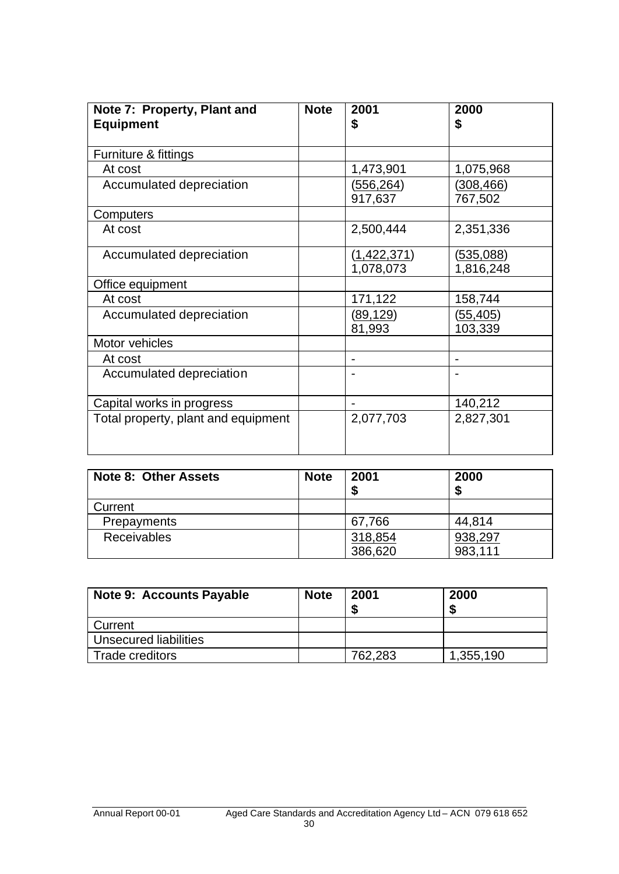| Note 7: Property, Plant and         | <b>Note</b> | 2001                            | 2000                          |
|-------------------------------------|-------------|---------------------------------|-------------------------------|
| <b>Equipment</b>                    |             | \$                              | \$                            |
|                                     |             |                                 |                               |
| Furniture & fittings                |             |                                 |                               |
| At cost                             |             | 1,473,901                       | 1,075,968                     |
| Accumulated depreciation            |             | <u>(556,264)</u><br>917,637     | (308, 466)<br>767,502         |
| Computers                           |             |                                 |                               |
| At cost                             |             | 2,500,444                       | 2,351,336                     |
| Accumulated depreciation            |             | <u>(1,422,371)</u><br>1,078,073 | <u>(535,088)</u><br>1,816,248 |
| Office equipment                    |             |                                 |                               |
| At cost                             |             | 171,122                         | 158,744                       |
| Accumulated depreciation            |             | <u>(89,129)</u><br>81,993       | (55, 405)<br>103,339          |
| Motor vehicles                      |             |                                 |                               |
| At cost                             |             |                                 |                               |
| Accumulated depreciation            |             |                                 |                               |
| Capital works in progress           |             |                                 | 140,212                       |
| Total property, plant and equipment |             | 2,077,703                       | 2,827,301                     |

| <b>Note 8: Other Assets</b> | <b>Note</b> | 2001<br>Æ | 2000<br>J. |
|-----------------------------|-------------|-----------|------------|
| Current                     |             |           |            |
| <b>Prepayments</b>          |             | 67,766    | 44,814     |
| <b>Receivables</b>          |             | 318,854   | 938,297    |
|                             |             | 386,620   | 983,111    |

| <b>Note 9: Accounts Payable</b> | <b>Note</b> | 2001    | 2000      |
|---------------------------------|-------------|---------|-----------|
| Current                         |             |         |           |
| Unsecured liabilities           |             |         |           |
| Trade creditors                 |             | 762.283 | 1,355.190 |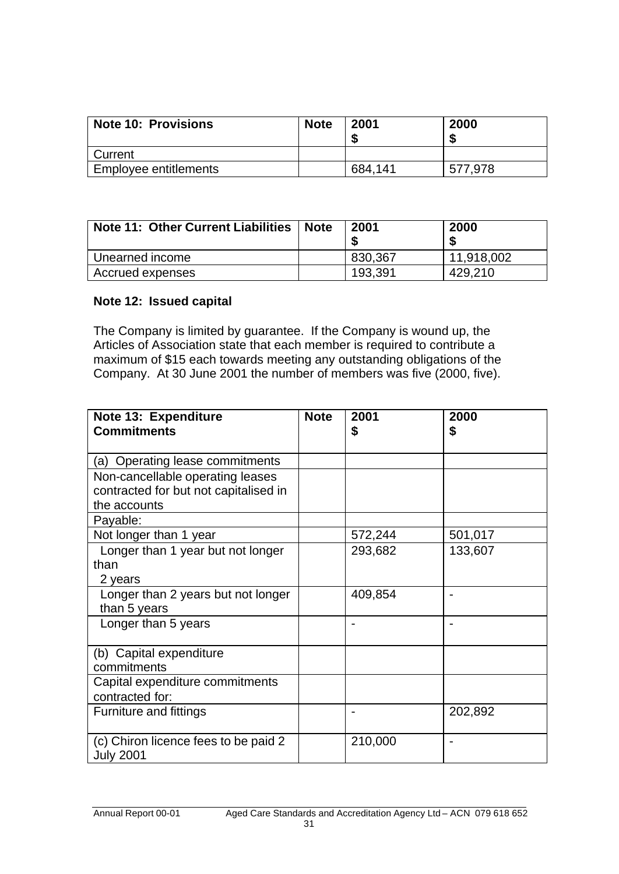| <b>Note 10: Provisions</b> | <b>Note</b> | 2001    | 2000    |
|----------------------------|-------------|---------|---------|
| Current                    |             |         |         |
| Employee entitlements      |             | 684,141 | 577,978 |

| <b>Note 11: Other Current Liabilities</b> | <b>Note</b> | 2001    | 2000       |
|-------------------------------------------|-------------|---------|------------|
| Unearned income                           |             | 830,367 | 11,918,002 |
| Accrued expenses                          |             | 193,391 | 429.210    |

## **Note 12: Issued capital**

The Company is limited by guarantee. If the Company is wound up, the Articles of Association state that each member is required to contribute a maximum of \$15 each towards meeting any outstanding obligations of the Company. At 30 June 2001 the number of members was five (2000, five).

| Note 13: Expenditure                                                                      | <b>Note</b> | 2001    | 2000    |
|-------------------------------------------------------------------------------------------|-------------|---------|---------|
| <b>Commitments</b>                                                                        |             | \$      | \$      |
| (a) Operating lease commitments                                                           |             |         |         |
| Non-cancellable operating leases<br>contracted for but not capitalised in<br>the accounts |             |         |         |
| Payable:                                                                                  |             |         |         |
| Not longer than 1 year                                                                    |             | 572,244 | 501,017 |
| Longer than 1 year but not longer<br>than<br>2 years                                      |             | 293,682 | 133,607 |
| Longer than 2 years but not longer<br>than 5 years                                        |             | 409,854 |         |
| Longer than 5 years                                                                       |             |         |         |
| (b) Capital expenditure<br>commitments                                                    |             |         |         |
| Capital expenditure commitments<br>contracted for:                                        |             |         |         |
| Furniture and fittings                                                                    |             |         | 202,892 |
| (c) Chiron licence fees to be paid 2<br><b>July 2001</b>                                  |             | 210,000 |         |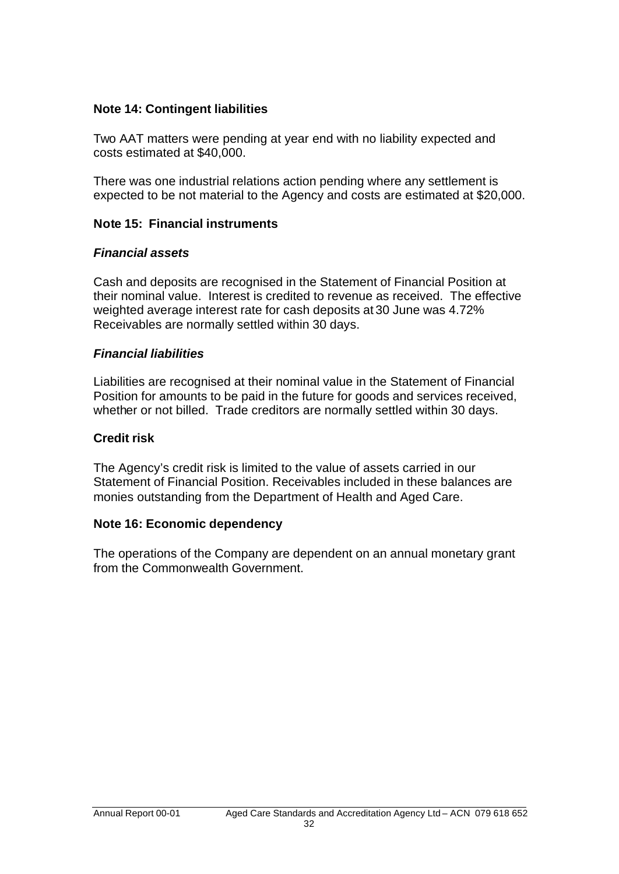# **Note 14: Contingent liabilities**

Two AAT matters were pending at year end with no liability expected and costs estimated at \$40,000.

There was one industrial relations action pending where any settlement is expected to be not material to the Agency and costs are estimated at \$20,000.

# **Note 15: Financial instruments**

# *Financial assets*

Cash and deposits are recognised in the Statement of Financial Position at their nominal value. Interest is credited to revenue as received. The effective weighted average interest rate for cash deposits at 30 June was 4.72% Receivables are normally settled within 30 days.

# *Financial liabilities*

Liabilities are recognised at their nominal value in the Statement of Financial Position for amounts to be paid in the future for goods and services received, whether or not billed. Trade creditors are normally settled within 30 days.

# **Credit risk**

The Agency's credit risk is limited to the value of assets carried in our Statement of Financial Position. Receivables included in these balances are monies outstanding from the Department of Health and Aged Care.

# **Note 16: Economic dependency**

The operations of the Company are dependent on an annual monetary grant from the Commonwealth Government.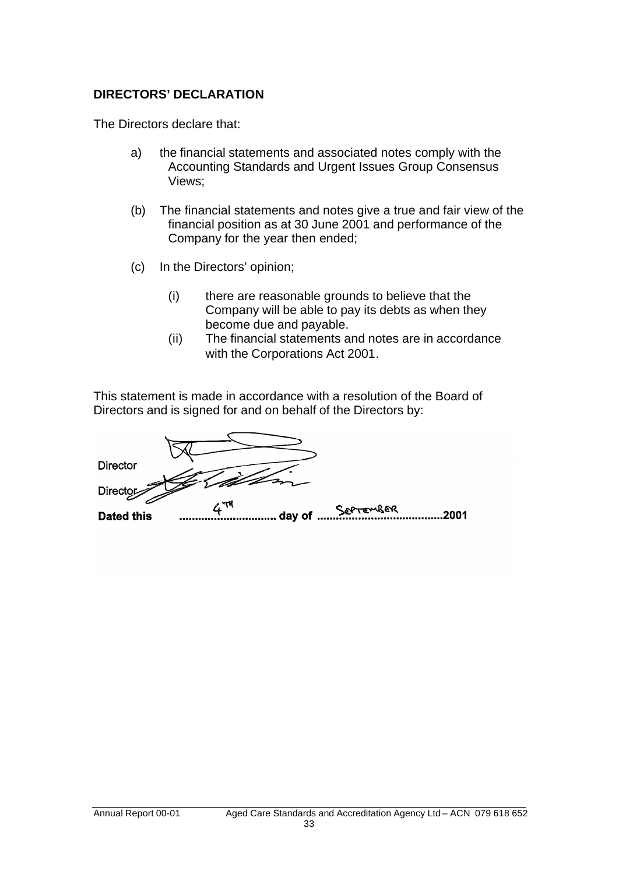# **DIRECTORS' DECLARATION**

The Directors declare that:

- a) the financial statements and associated notes comply with the Accounting Standards and Urgent Issues Group Consensus Views;
- (b) The financial statements and notes give a true and fair view of the financial position as at 30 June 2001 and performance of the Company for the year then ended;
- (c) In the Directors' opinion;
	- (i) there are reasonable grounds to believe that the Company will be able to pay its debts as when they become due and payable.
	- (ii) The financial statements and notes are in accordance with the Corporations Act 2001.

This statement is made in accordance with a resolution of the Board of Directors and is signed for and on behalf of the Directors by:

**Director Directo** SOPTEMBER .........2001 **Dated this**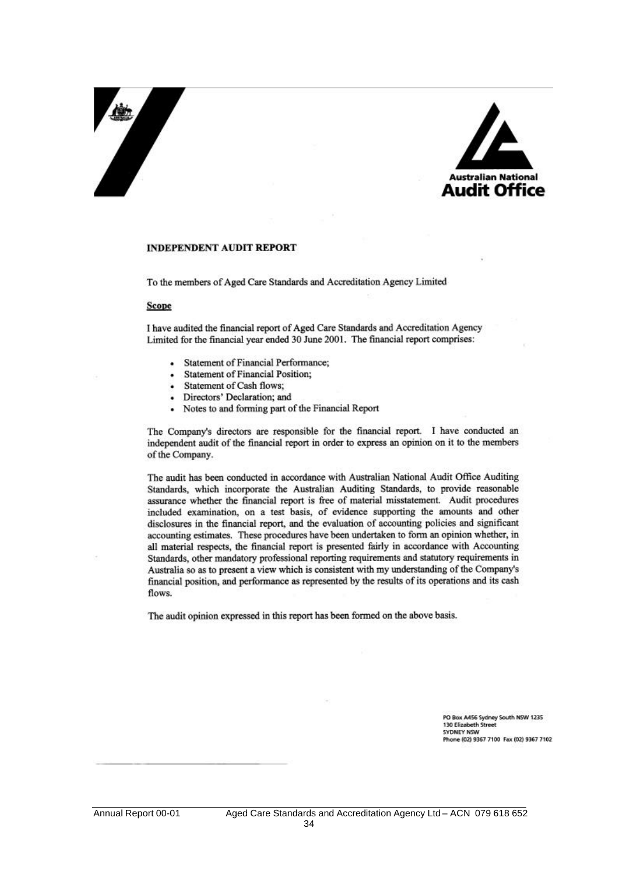# 



#### **INDEPENDENT AUDIT REPORT**

To the members of Aged Care Standards and Accreditation Agency Limited

#### **Scope**

I have audited the financial report of Aged Care Standards and Accreditation Agency Limited for the financial year ended 30 June 2001. The financial report comprises:

- **Statement of Financial Performance;**
- **Statement of Financial Position:**
- Statement of Cash flows:
- Directors' Declaration; and
- Notes to and forming part of the Financial Report  $\overline{a}$

The Company's directors are responsible for the financial report. I have conducted an independent audit of the financial report in order to express an opinion on it to the members of the Company.

The audit has been conducted in accordance with Australian National Audit Office Auditing Standards, which incorporate the Australian Auditing Standards, to provide reasonable assurance whether the financial report is free of material misstatement. Audit procedures included examination, on a test basis, of evidence supporting the amounts and other disclosures in the financial report, and the evaluation of accounting policies and significant accounting estimates. These procedures have been undertaken to form an opinion whether, in all material respects, the financial report is presented fairly in accordance with Accounting Standards, other mandatory professional reporting requirements and statutory requirements in Australia so as to present a view which is consistent with my understanding of the Company's financial position, and performance as represented by the results of its operations and its cash flows.

The audit opinion expressed in this report has been formed on the above basis.

PO Box A456 Sydney South NSW 1235 130 Elizabeth Street **SYDNEY NSW** Phone (02) 9367 7100 Fax (02) 9367 7102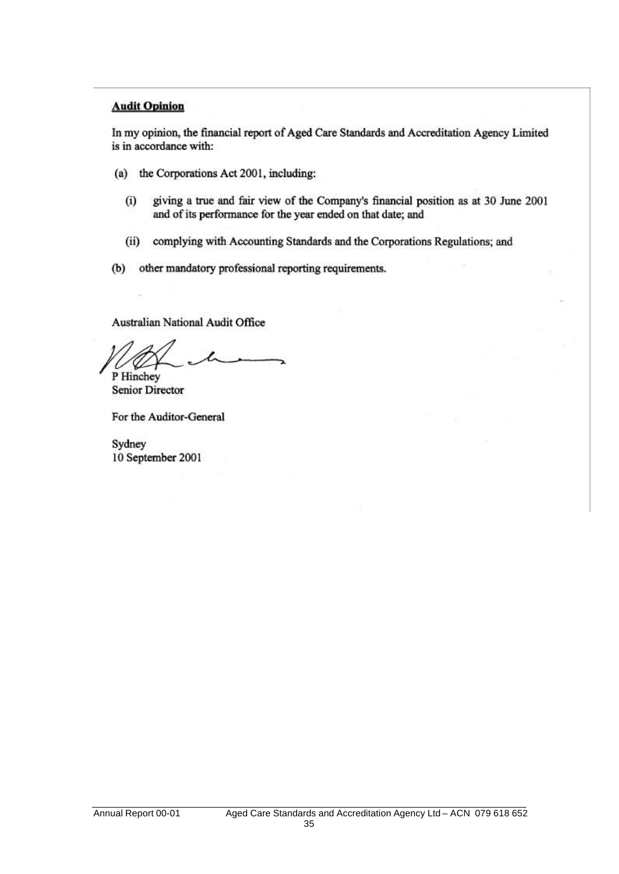### **Audit Opinion**

In my opinion, the financial report of Aged Care Standards and Accreditation Agency Limited is in accordance with:

- (a) the Corporations Act 2001, including:
	- giving a true and fair view of the Company's financial position as at 30 June 2001  $(i)$ and of its performance for the year ended on that date; and
	- (ii) complying with Accounting Standards and the Corporations Regulations; and
- (b) other mandatory professional reporting requirements.

Australian National Audit Office

P Hinchey

**Senior Director** 

For the Auditor-General

Sydney 10 September 2001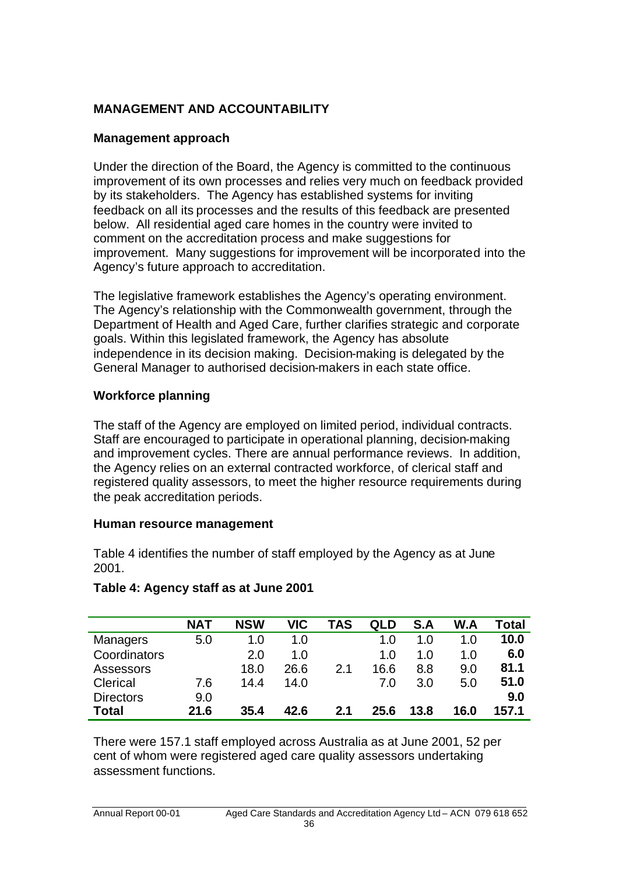# **MANAGEMENT AND ACCOUNTABILITY**

# **Management approach**

Under the direction of the Board, the Agency is committed to the continuous improvement of its own processes and relies very much on feedback provided by its stakeholders. The Agency has established systems for inviting feedback on all its processes and the results of this feedback are presented below. All residential aged care homes in the country were invited to comment on the accreditation process and make suggestions for improvement. Many suggestions for improvement will be incorporated into the Agency's future approach to accreditation.

The legislative framework establishes the Agency's operating environment. The Agency's relationship with the Commonwealth government, through the Department of Health and Aged Care, further clarifies strategic and corporate goals. Within this legislated framework, the Agency has absolute independence in its decision making. Decision-making is delegated by the General Manager to authorised decision-makers in each state office.

# **Workforce planning**

The staff of the Agency are employed on limited period, individual contracts. Staff are encouraged to participate in operational planning, decision-making and improvement cycles. There are annual performance reviews. In addition, the Agency relies on an external contracted workforce, of clerical staff and registered quality assessors, to meet the higher resource requirements during the peak accreditation periods.

# **Human resource management**

Table 4 identifies the number of staff employed by the Agency as at June 2001.

|                  | <b>NAT</b> | <b>NSW</b> | <b>VIC</b> | TAS            | QLD  | S.A  | W.A  | Total |
|------------------|------------|------------|------------|----------------|------|------|------|-------|
| <b>Managers</b>  | 5.0        | 1.0        | 1.0        |                | 1.O  | 1.0  | 1.0  | 10.0  |
| Coordinators     |            | 2.0        | 1.0        |                | 1.O  | 1.O  | 1.0  | 6.0   |
| Assessors        |            | 18.0       | 26.6       | 2 <sub>1</sub> | 16.6 | 8.8  | 9.0  | 81.1  |
| Clerical         | 7.6        | 14.4       | 14.0       |                | 7.0  | 3.0  | 5.0  | 51.0  |
| <b>Directors</b> | 9.0        |            |            |                |      |      |      | 9.0   |
| Total            | 21.6       | 35.4       | 42.6       | 2.1            | 25.6 | 13.8 | 16.0 | 157.1 |

# **Table 4: Agency staff as at June 2001**

There were 157.1 staff employed across Australia as at June 2001, 52 per cent of whom were registered aged care quality assessors undertaking assessment functions.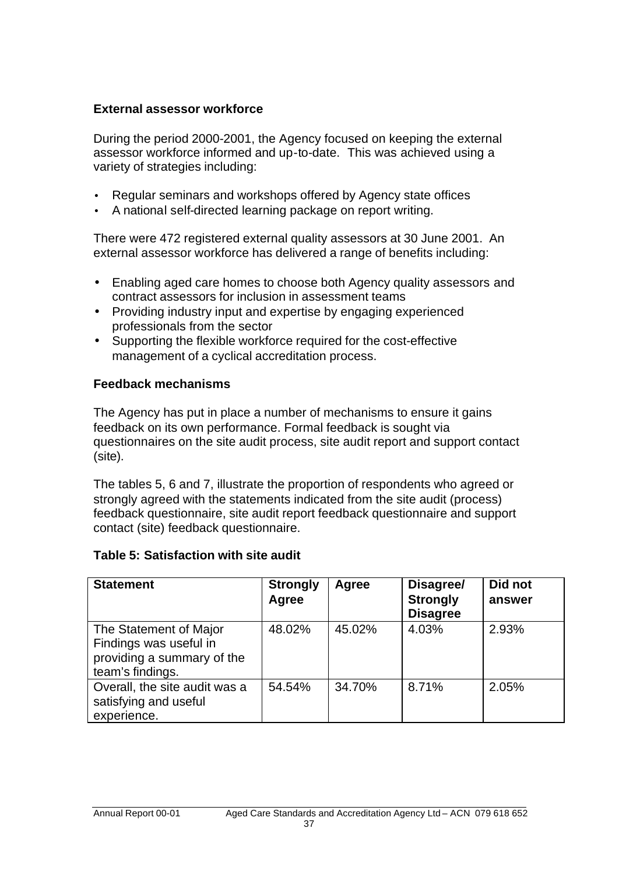# **External assessor workforce**

During the period 2000-2001, the Agency focused on keeping the external assessor workforce informed and up-to-date. This was achieved using a variety of strategies including:

- Regular seminars and workshops offered by Agency state offices
- A national self-directed learning package on report writing.

There were 472 registered external quality assessors at 30 June 2001. An external assessor workforce has delivered a range of benefits including:

- Enabling aged care homes to choose both Agency quality assessors and contract assessors for inclusion in assessment teams
- Providing industry input and expertise by engaging experienced professionals from the sector
- Supporting the flexible workforce required for the cost-effective management of a cyclical accreditation process.

# **Feedback mechanisms**

The Agency has put in place a number of mechanisms to ensure it gains feedback on its own performance. Formal feedback is sought via questionnaires on the site audit process, site audit report and support contact (site).

The tables 5, 6 and 7, illustrate the proportion of respondents who agreed or strongly agreed with the statements indicated from the site audit (process) feedback questionnaire, site audit report feedback questionnaire and support contact (site) feedback questionnaire.

# **Table 5: Satisfaction with site audit**

| <b>Statement</b>                                                                                   | <b>Strongly</b><br>Agree | Agree  | Disagree/<br><b>Strongly</b><br><b>Disagree</b> | Did not<br>answer |
|----------------------------------------------------------------------------------------------------|--------------------------|--------|-------------------------------------------------|-------------------|
| The Statement of Major<br>Findings was useful in<br>providing a summary of the<br>team's findings. | 48.02%                   | 45.02% | 4.03%                                           | 2.93%             |
| Overall, the site audit was a<br>satisfying and useful<br>experience.                              | 54.54%                   | 34.70% | 8.71%                                           | 2.05%             |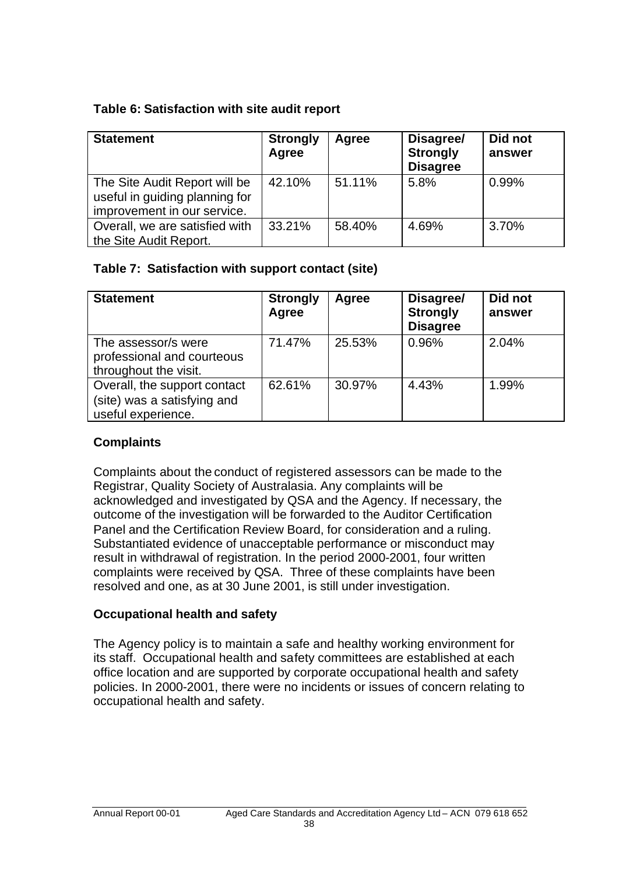# **Table 6: Satisfaction with site audit report**

| <b>Statement</b>                                                                               | <b>Strongly</b><br>Agree | Agree  | Disagree/<br><b>Strongly</b><br><b>Disagree</b> | Did not<br>answer |
|------------------------------------------------------------------------------------------------|--------------------------|--------|-------------------------------------------------|-------------------|
| The Site Audit Report will be<br>useful in guiding planning for<br>improvement in our service. | 42.10%                   | 51.11% | 5.8%                                            | 0.99%             |
| Overall, we are satisfied with<br>the Site Audit Report.                                       | 33.21%                   | 58.40% | 4.69%                                           | 3.70%             |

# **Table 7: Satisfaction with support contact (site)**

| <b>Statement</b>                                                                  | <b>Strongly</b><br>Agree | Agree  | Disagree/<br><b>Strongly</b><br><b>Disagree</b> | Did not<br>answer |
|-----------------------------------------------------------------------------------|--------------------------|--------|-------------------------------------------------|-------------------|
| The assessor/s were<br>professional and courteous<br>throughout the visit.        | 71.47%                   | 25.53% | 0.96%                                           | 2.04%             |
| Overall, the support contact<br>(site) was a satisfying and<br>useful experience. | 62.61%                   | 30.97% | 4.43%                                           | 1.99%             |

# **Complaints**

Complaints about the conduct of registered assessors can be made to the Registrar, Quality Society of Australasia. Any complaints will be acknowledged and investigated by QSA and the Agency. If necessary, the outcome of the investigation will be forwarded to the Auditor Certification Panel and the Certification Review Board, for consideration and a ruling. Substantiated evidence of unacceptable performance or misconduct may result in withdrawal of registration. In the period 2000-2001, four written complaints were received by QSA. Three of these complaints have been resolved and one, as at 30 June 2001, is still under investigation.

# **Occupational health and safety**

The Agency policy is to maintain a safe and healthy working environment for its staff. Occupational health and safety committees are established at each office location and are supported by corporate occupational health and safety policies. In 2000-2001, there were no incidents or issues of concern relating to occupational health and safety.